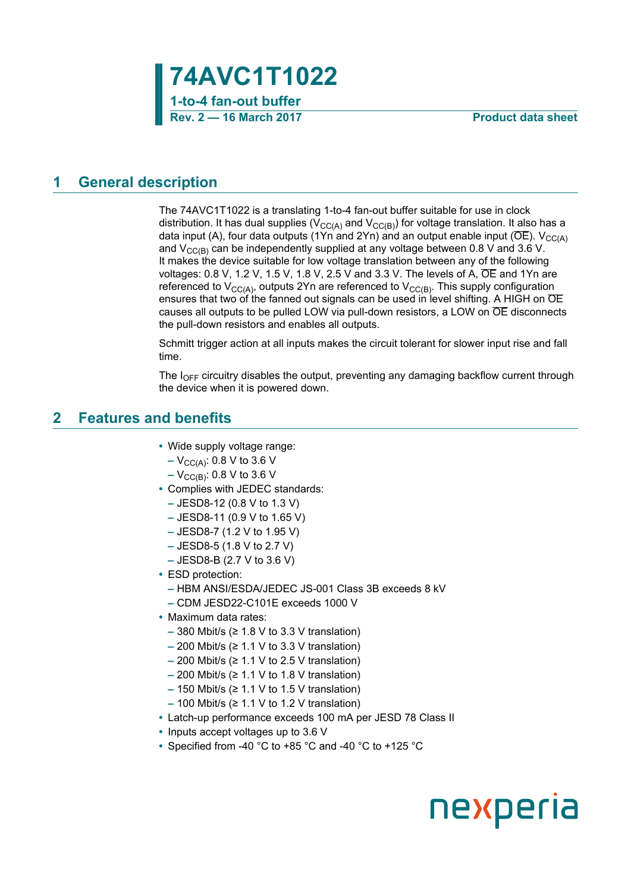

### <span id="page-0-0"></span>**1 General description**

The 74AVC1T1022 is a translating 1-to-4 fan-out buffer suitable for use in clock distribution. It has dual supplies ( $V_{CC(A)}$  and  $V_{CC(B)}$ ) for voltage translation. It also has a data input (A), four data outputs (1Yn and 2Yn) and an output enable input ( $\overline{OE}$ ). V<sub>CC(A)</sub> and  $V_{CC(B)}$  can be independently supplied at any voltage between 0.8 V and 3.6 V. It makes the device suitable for low voltage translation between any of the following voltages: 0.8 V, 1.2 V, 1.5 V, 1.8 V, 2.5 V and 3.3 V. The levels of A,  $\overline{OE}$  and 1Yn are referenced to  $V_{CC(A)}$ , outputs 2Yn are referenced to  $V_{CC(B)}$ . This supply configuration ensures that two of the fanned out signals can be used in level shifting. A HIGH on  $\overline{OE}$ causes all outputs to be pulled LOW via pull-down resistors, a LOW on OE disconnects the pull-down resistors and enables all outputs.

Schmitt trigger action at all inputs makes the circuit tolerant for slower input rise and fall time.

The  $I_{\text{OFF}}$  circuitry disables the output, preventing any damaging backflow current through the device when it is powered down.

### <span id="page-0-1"></span>**2 Features and benefits**

- **•** Wide supply voltage range:
	- **–** V<sub>CC(A)</sub>: 0.8 V to 3.6 V
	- $-V_{\text{CC(B)}}$ : 0.8 V to 3.6 V
- **•** Complies with JEDEC standards:
	- **–** JESD8-12 (0.8 V to 1.3 V)
	- **–** JESD8-11 (0.9 V to 1.65 V)
	- **–** JESD8-7 (1.2 V to 1.95 V)
	- **–** JESD8-5 (1.8 V to 2.7 V)
	- **–** JESD8-B (2.7 V to 3.6 V)
- **•** ESD protection:
	- **–** HBM ANSI/ESDA/JEDEC JS-001 Class 3B exceeds 8 kV
	- **–** CDM JESD22-C101E exceeds 1000 V
- **•** Maximum data rates:
	- **–** 380 Mbit/s (≥ 1.8 V to 3.3 V translation)
	- **–** 200 Mbit/s (≥ 1.1 V to 3.3 V translation)
	- **–** 200 Mbit/s (≥ 1.1 V to 2.5 V translation)
	- **–** 200 Mbit/s (≥ 1.1 V to 1.8 V translation)
	- **–** 150 Mbit/s (≥ 1.1 V to 1.5 V translation)
	- **–** 100 Mbit/s (≥ 1.1 V to 1.2 V translation)
- **•** Latch-up performance exceeds 100 mA per JESD 78 Class II
- **•** Inputs accept voltages up to 3.6 V
- **•** Specified from -40 °C to +85 °C and -40 °C to +125 °C

# nexperia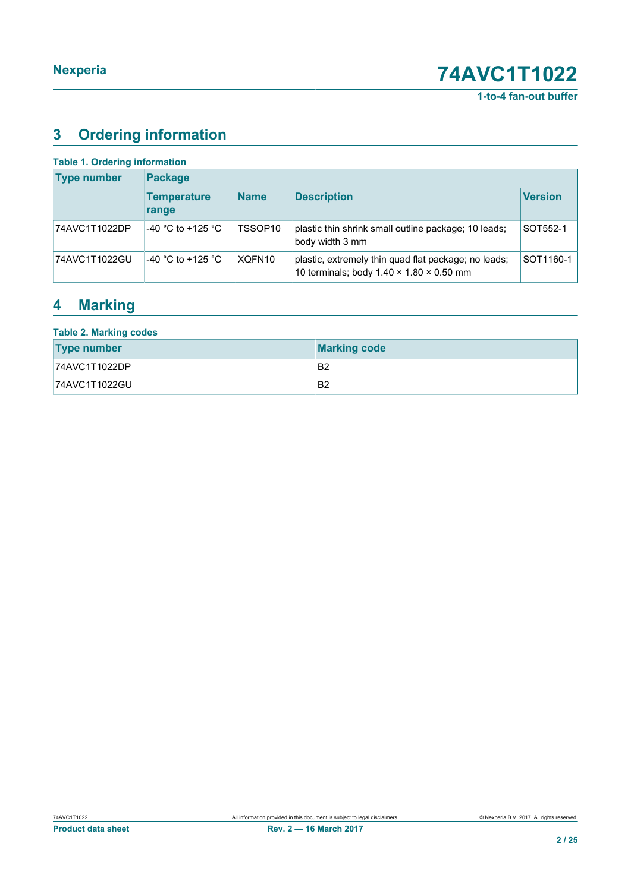**1-to-4 fan-out buffer**

# <span id="page-1-0"></span>**3 Ordering information**

| <b>Table 1. Ordering information</b> |                             |             |                                                                                                              |                |
|--------------------------------------|-----------------------------|-------------|--------------------------------------------------------------------------------------------------------------|----------------|
| <b>Type number</b>                   | <b>Package</b>              |             |                                                                                                              |                |
|                                      | <b>Temperature</b><br>range | <b>Name</b> | <b>Description</b>                                                                                           | <b>Version</b> |
| 74AVC1T1022DP                        | -40 °C to +125 °C           | TSSOP10     | plastic thin shrink small outline package; 10 leads;<br>body width 3 mm                                      | SOT552-1       |
| 74AVC1T1022GU                        | -40 °C to +125 °C           | XQFN10      | plastic, extremely thin quad flat package; no leads;<br>10 terminals; body $1.40 \times 1.80 \times 0.50$ mm | SOT1160-1      |

## <span id="page-1-1"></span>**4 Marking**

| <b>Table 2. Marking codes</b> |                     |  |  |  |
|-------------------------------|---------------------|--|--|--|
| <b>Type number</b>            | <b>Marking code</b> |  |  |  |
| 74AVC1T1022DP                 | B <sub>2</sub>      |  |  |  |
| 74AVC1T1022GU                 | B <sub>2</sub>      |  |  |  |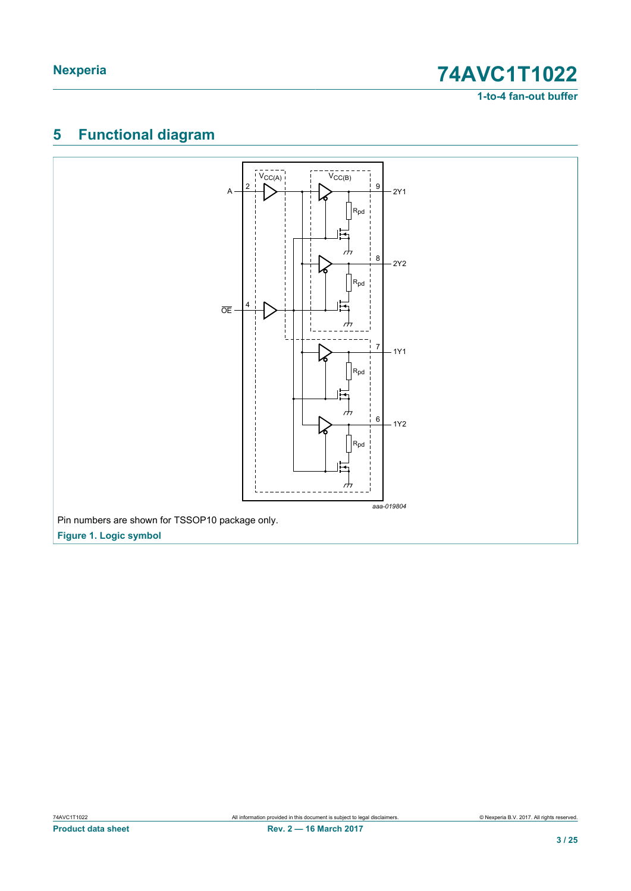**1-to-4 fan-out buffer**

# <span id="page-2-0"></span>**5 Functional diagram**

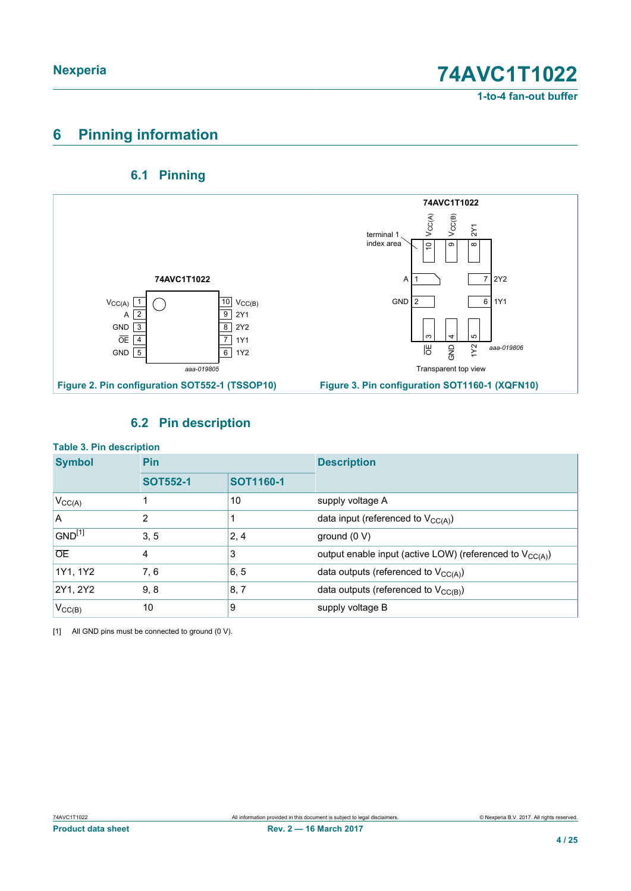### **1-to-4 fan-out buffer**

## <span id="page-3-1"></span>**6 Pinning information**

### <span id="page-3-2"></span><span id="page-3-0"></span>**6.1 Pinning**



### <span id="page-3-3"></span>**6.2 Pin description**

| <b>Table 3. Pin description</b> |                 |                  |                                                               |  |  |
|---------------------------------|-----------------|------------------|---------------------------------------------------------------|--|--|
| <b>Symbol</b>                   | Pin             |                  | <b>Description</b>                                            |  |  |
|                                 | <b>SOT552-1</b> | <b>SOT1160-1</b> |                                                               |  |  |
| $V_{CC(A)}$                     |                 | 10               | supply voltage A                                              |  |  |
| A                               | 2               |                  | data input (referenced to $V_{CC(A)}$ )                       |  |  |
| GND <sup>[1]</sup>              | 3, 5            | 2, 4             | ground $(0 V)$                                                |  |  |
| <b>OE</b>                       | 4               | 3                | output enable input (active LOW) (referenced to $V_{CC(A)}$ ) |  |  |
| 1Y1, 1Y2                        | 7, 6            | 6, 5             | data outputs (referenced to $V_{CC(A)}$ )                     |  |  |
| 2Y1, 2Y2                        | 9, 8            | 8, 7             | data outputs (referenced to $V_{CC(B)}$ )                     |  |  |
| $V_{CC(B)}$                     | 10              | 9                | supply voltage B                                              |  |  |

[1] All GND pins must be connected to ground (0 V).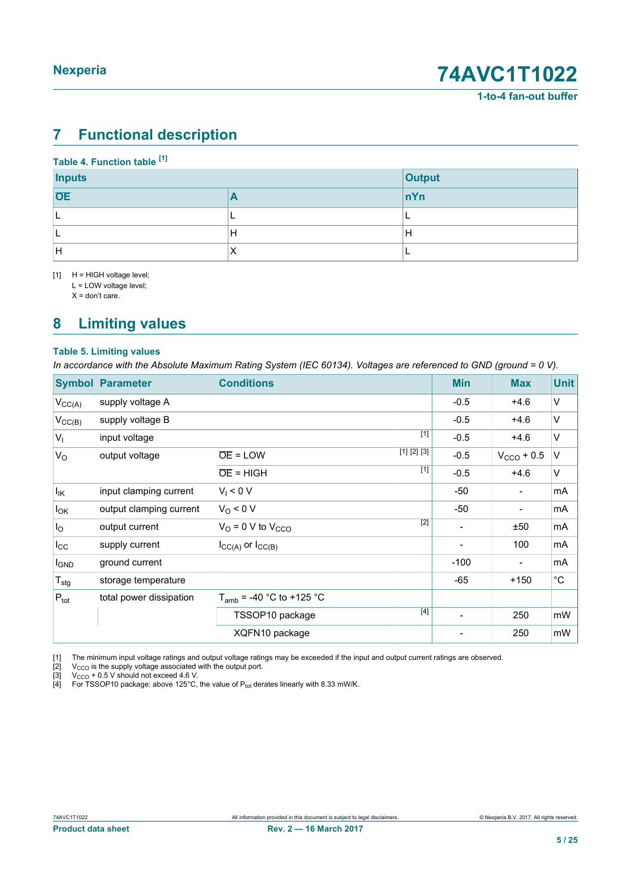## <span id="page-4-4"></span><span id="page-4-1"></span><span id="page-4-0"></span>**7 Functional description**

#### <span id="page-4-3"></span><span id="page-4-2"></span>**Table 4. Function table [\[1\]](#page-4-0)**

| <b>Inputs</b> |           | <b>Output</b> |
|---------------|-----------|---------------|
| <b>OE</b>     |           | nYn           |
|               |           |               |
|               | н         | H             |
| ΙH            | $\lambda$ |               |

[1] H = HIGH voltage level;

L = LOW voltage level;

 $X =$  don't care.

## <span id="page-4-5"></span>**8 Limiting values**

#### **Table 5. Limiting values**

*In accordance with the Absolute Maximum Rating System (IEC 60134). Voltages are referenced to GND (ground = 0 V).*

| <b>Symbol</b>       | <b>Parameter</b>        | <b>Conditions</b>                    | <b>Min</b>               | <b>Max</b>               | <b>Unit</b>  |
|---------------------|-------------------------|--------------------------------------|--------------------------|--------------------------|--------------|
| $V_{CC(A)}$         | supply voltage A        |                                      | $-0.5$                   | $+4.6$                   | V            |
| $V_{\text{CC}(B)}$  | supply voltage B        |                                      | $-0.5$                   | $+4.6$                   | V            |
| $V_{I}$             | input voltage           | $[1]$                                | $-0.5$                   | $+4.6$                   | V            |
| $V_{\rm O}$         | output voltage          | [1] [2] [3]<br>$\overline{OE}$ = LOW | $-0.5$                   | $VCCO + 0.5$             | V            |
|                     |                         | $[1]$<br>$\overline{OE}$ = HIGH      | $-0.5$                   | $+4.6$                   | V            |
| $ I_{\mathsf{IK}} $ | input clamping current  | $V_1 < 0 V$                          | -50                      | $\overline{\phantom{a}}$ | mA           |
| $I_{OK}$            | output clamping current | $V_0 < 0 V$                          | -50                      | $\overline{\phantom{a}}$ | mA           |
| $I_{\rm O}$         | output current          | $[2]$<br>$VO$ = 0 V to $VCCO$        | $\blacksquare$           | ±50                      | mA           |
| $I_{\rm CC}$        | supply current          | $I_{CC(A)}$ or $I_{CC(B)}$           |                          | 100                      | mA           |
| <b>I</b> GND        | ground current          |                                      | $-100$                   | $\overline{\phantom{a}}$ | mA           |
| $T_{\text{stg}}$    | storage temperature     |                                      | -65                      | $+150$                   | $^{\circ}$ C |
| $P_{\text{tot}}$    | total power dissipation | $T_{amb}$ = -40 °C to +125 °C        |                          |                          |              |
|                     |                         | $[4]$<br>TSSOP10 package             | $\overline{\phantom{a}}$ | 250                      | mW           |
|                     |                         | XQFN10 package                       |                          | 250                      | mW           |

[1] The minimum input voltage ratings and output voltage ratings may be exceeded if the input and output current ratings are observed.

[2]  $V_{\text{CCO}}$  is the supply voltage associated with the output port.

 $[3]$  V<sub>CCO</sub> + 0.5 V should not exceed 4.6 V.

 $[4]$  For TSSOP10 package: above 125°C, the value of P<sub>tot</sub> derates linearly with 8.33 mW/K.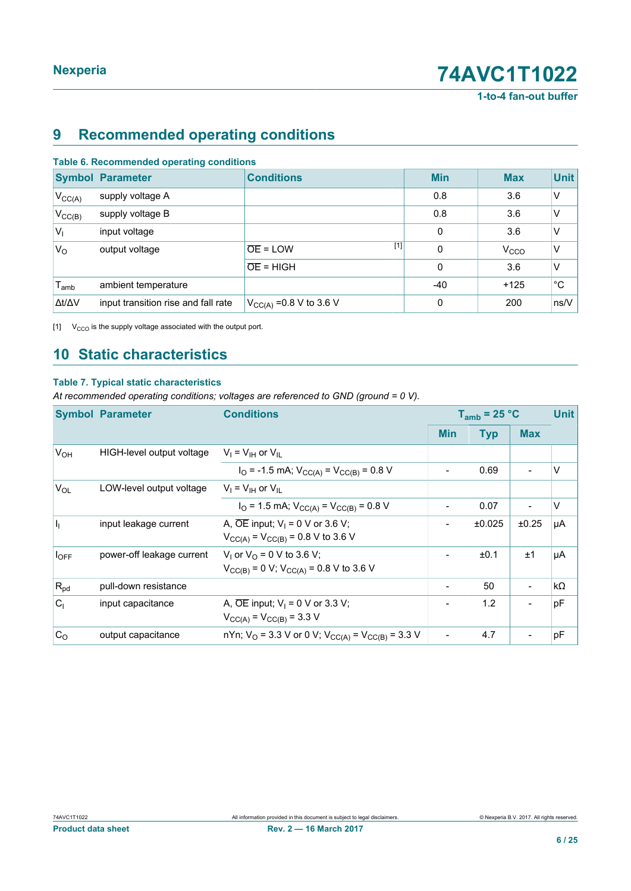**1-to-4 fan-out buffer**

## <span id="page-5-1"></span><span id="page-5-0"></span>**9 Recommended operating conditions**

| Table 6. Recommended operating conditions |                                     |                                |              |                  |             |  |  |  |  |
|-------------------------------------------|-------------------------------------|--------------------------------|--------------|------------------|-------------|--|--|--|--|
|                                           | <b>Symbol Parameter</b>             | <b>Conditions</b>              | <b>Min</b>   | <b>Max</b>       | <b>Unit</b> |  |  |  |  |
| $V_{CC(A)}$                               | supply voltage A                    |                                | 0.8          | 3.6              | V           |  |  |  |  |
| $V_{CC(B)}$                               | supply voltage B                    |                                | 0.8          | 3.6              | ٧           |  |  |  |  |
| $ V_1 $                                   | input voltage                       |                                | $\mathbf{0}$ | 3.6              | V           |  |  |  |  |
| $V_{\rm O}$                               | output voltage                      | $[1]$<br>$\overline{OE}$ = LOW | $\mathbf 0$  | V <sub>CCO</sub> | V           |  |  |  |  |
|                                           |                                     | $OE = HIGH$                    | $\Omega$     | 3.6              | V           |  |  |  |  |
| $T_{amb}$                                 | ambient temperature                 |                                | -40          | $+125$           | $^{\circ}C$ |  |  |  |  |
| $\Delta t/\Delta V$                       | input transition rise and fall rate | $V_{CC(A)} = 0.8 V$ to 3.6 V   | 0            | 200              | ns/V        |  |  |  |  |

[1]  $V_{CCO}$  is the supply voltage associated with the output port.

**Table 6. Recommended operating conditions**

## <span id="page-5-2"></span>**10 Static characteristics**

#### **Table 7. Typical static characteristics**

*At recommended operating conditions; voltages are referenced to GND (ground = 0 V).*

|                | <b>Symbol Parameter</b><br><b>Conditions</b> |                                                                                                     | $T_{amb}$ = 25 °C | <b>Unit</b> |            |           |
|----------------|----------------------------------------------|-----------------------------------------------------------------------------------------------------|-------------------|-------------|------------|-----------|
|                |                                              |                                                                                                     | <b>Min</b>        | <b>Typ</b>  | <b>Max</b> |           |
| $V_{OH}$       | HIGH-level output voltage                    | $V_I = V_{IH}$ or $V_{IL}$                                                                          |                   |             |            |           |
|                |                                              | $I_{\rm O}$ = -1.5 mA; $V_{\rm CC(A)}$ = $V_{\rm CC(B)}$ = 0.8 V                                    |                   | 0.69        |            | $\vee$    |
| $V_{OL}$       | LOW-level output voltage                     | $V_1 = V_{1H}$ or $V_{II}$                                                                          |                   |             |            |           |
|                |                                              | $IO$ = 1.5 mA; $VCC(A)$ = $VCC(B)$ = 0.8 V                                                          |                   | 0.07        |            | $\vee$    |
| h              | input leakage current                        | A, $\overline{OE}$ input; $V_1 = 0$ V or 3.6 V;<br>$V_{CC(A)} = V_{CC(B)} = 0.8 \text{ V}$ to 3.6 V |                   | ±0.025      | ±0.25      | μA        |
| $I_{OFF}$      | power-off leakage current                    | $V_1$ or $V_0$ = 0 V to 3.6 V;<br>$V_{CC(B)} = 0$ V; $V_{CC(A)} = 0.8$ V to 3.6 V                   |                   | ±0.1        | ±1         | μA        |
| $R_{pd}$       | pull-down resistance                         |                                                                                                     |                   | 50          |            | $k\Omega$ |
| C <sub>1</sub> | input capacitance                            | A, $\overline{OE}$ input; $V_1 = 0$ V or 3.3 V;<br>$V_{CC(A)} = V_{CC(B)} = 3.3 V$                  |                   | 1.2         |            | pF        |
| C <sub>O</sub> | output capacitance                           | nYn; V <sub>O</sub> = 3.3 V or 0 V; V <sub>CC(A)</sub> = V <sub>CC(B)</sub> = 3.3 V                 |                   | 4.7         |            | pF        |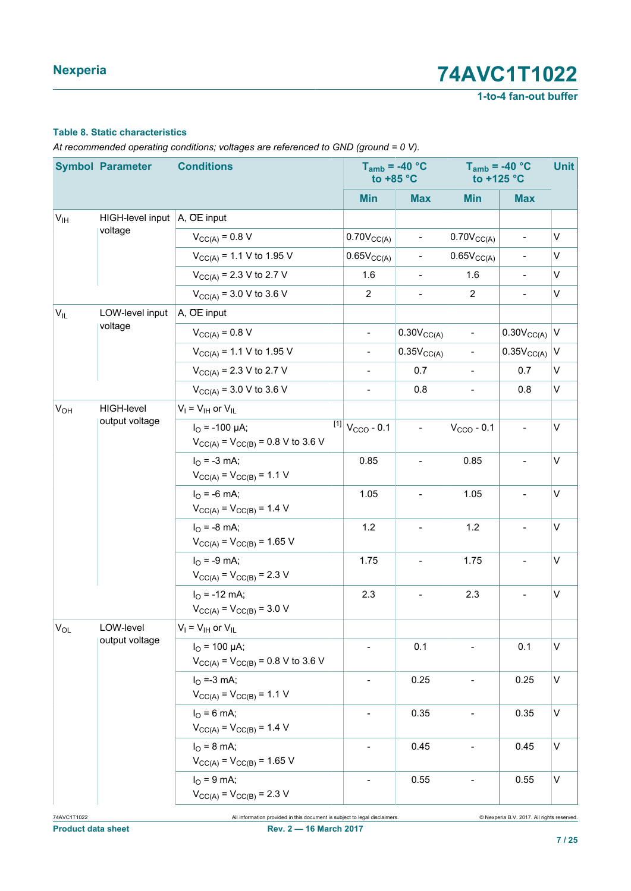**1-to-4 fan-out buffer**

#### **Table 8. Static characteristics**

*At recommended operating conditions; voltages are referenced to GND (ground = 0 V).*

|                 | <b>Symbol Parameter</b>                                 | <b>Conditions</b>                                                           | to $+85 °C$                     | $T_{amb}$ = -40 °C       | $T_{amb}$ = -40 °C<br>to +125 °C | <b>Unit</b>              |              |
|-----------------|---------------------------------------------------------|-----------------------------------------------------------------------------|---------------------------------|--------------------------|----------------------------------|--------------------------|--------------|
|                 |                                                         |                                                                             | <b>Min</b>                      | <b>Max</b>               | <b>Min</b>                       | <b>Max</b>               |              |
| V <sub>IH</sub> | HIGH-level input $\overline{A}$ , $\overline{OE}$ input |                                                                             |                                 |                          |                                  |                          |              |
|                 | voltage                                                 | $V_{CC(A)} = 0.8 V$                                                         | $0.70V_{CC(A)}$                 | $\overline{\phantom{a}}$ | $0.70V_{CC(A)}$                  | $\blacksquare$           | V            |
|                 |                                                         | $V_{CC(A)} = 1.1 V$ to 1.95 V                                               | 0.65V <sub>CC(A)</sub>          | $\overline{\phantom{0}}$ | $0.65V_{CC(A)}$                  | $\overline{\phantom{0}}$ | V            |
|                 |                                                         | $V_{CC(A)} = 2.3 V$ to 2.7 V                                                | 1.6                             | $\blacksquare$           | 1.6                              | $\overline{\phantom{a}}$ | V            |
|                 |                                                         | $V_{CC(A)} = 3.0 V$ to 3.6 V                                                | $\overline{2}$                  | $\overline{\phantom{a}}$ | $\overline{2}$                   | $\overline{\phantom{0}}$ | $\mathsf{V}$ |
| $V_{IL}$        | LOW-level input                                         | A, OE input                                                                 |                                 |                          |                                  |                          |              |
|                 | voltage                                                 | $V_{CC(A)} = 0.8 V$                                                         | $\overline{\phantom{a}}$        | $0.30V_{CC(A)}$          | $\overline{\phantom{a}}$         | 0.30V <sub>CC(A)</sub>   | $\vee$       |
|                 |                                                         | $V_{CC(A)} = 1.1 V$ to 1.95 V                                               | $\overline{\phantom{a}}$        | 0.35V <sub>CC(A)</sub>   | $\overline{\phantom{a}}$         | 0.35V <sub>CC(A)</sub>   | V            |
|                 |                                                         | $V_{CC(A)} = 2.3 V$ to 2.7 V                                                | $\overline{\phantom{a}}$        | 0.7                      | $\overline{\phantom{a}}$         | 0.7                      | V            |
|                 |                                                         | $V_{CC(A)} = 3.0 V$ to 3.6 V                                                | $\overline{\phantom{a}}$        | 0.8                      | $\overline{\phantom{a}}$         | 0.8                      | $\mathsf{V}$ |
| V <sub>OH</sub> | HIGH-level                                              | $V_I = V_{IH}$ or $V_{IL}$                                                  |                                 |                          |                                  |                          |              |
|                 | output voltage                                          | $I_{\Omega}$ = -100 µA;<br>$V_{CC(A)} = V_{CC(B)} = 0.8 \text{ V}$ to 3.6 V | $^{[1]}$ V <sub>CCO</sub> - 0.1 | $\blacksquare$           | $VCCO - 0.1$                     | $\overline{\phantom{a}}$ | V            |
|                 |                                                         | $I_{\text{O}} = -3 \text{ mA}$ ;<br>$V_{CC(A)} = V_{CC(B)} = 1.1 V$         | 0.85                            | $\overline{\phantom{a}}$ | 0.85                             | $\overline{a}$           | $\mathsf{V}$ |
|                 |                                                         | $I_{\text{O}}$ = -6 mA;<br>$V_{CC(A)} = V_{CC(B)} = 1.4 V$                  | 1.05                            |                          | 1.05                             |                          | $\mathsf{V}$ |
|                 |                                                         | $I_{O}$ = -8 mA;<br>$V_{CC(A)} = V_{CC(B)} = 1.65 V$                        | 1.2                             | $\overline{\phantom{a}}$ | 1.2                              | $\overline{a}$           | $\mathsf{V}$ |
|                 |                                                         | $I_{\rm O}$ = -9 mA;<br>$V_{CC(A)} = V_{CC(B)} = 2.3 V$                     | 1.75                            | $\overline{\phantom{a}}$ | 1.75                             | $\overline{a}$           | $\mathsf{V}$ |
|                 |                                                         | $IO$ = -12 mA;<br>$V_{CC(A)} = V_{CC(B)} = 3.0 V$                           | 2.3                             | $\blacksquare$           | 2.3                              | $\overline{a}$           | $\mathsf V$  |
| $ V_{OL} $      | LOW-level                                               | $V_I = V_{IH}$ or $V_{IL}$                                                  |                                 |                          |                                  |                          |              |
|                 | output voltage                                          | $I_{\Omega}$ = 100 µA;<br>$V_{CC(A)} = V_{CC(B)} = 0.8 \text{ V}$ to 3.6 V  | $\overline{\phantom{a}}$        | 0.1                      |                                  | 0.1                      | $\mathsf V$  |
|                 |                                                         | $I_{\rm O} = -3$ mA;<br>$V_{CC(A)} = V_{CC(B)} = 1.1 V$                     |                                 | 0.25                     |                                  | 0.25                     | $\mathsf{V}$ |
|                 |                                                         | $I_{O} = 6$ mA;<br>$V_{CC(A)} = V_{CC(B)} = 1.4 V$                          | $\overline{\phantom{a}}$        | 0.35                     | $\blacksquare$                   | 0.35                     | $\mathsf{V}$ |
|                 |                                                         | $I_{\rm O}$ = 8 mA;<br>$V_{CC(A)} = V_{CC(B)} = 1.65$ V                     | $\overline{\phantom{a}}$        | 0.45                     | $\overline{\phantom{a}}$         | 0.45                     | $\mathsf{V}$ |
|                 |                                                         | $I_{O} = 9$ mA;<br>$V_{CC(A)} = V_{CC(B)} = 2.3 V$                          |                                 | 0.55                     |                                  | 0.55                     | $\mathsf{V}$ |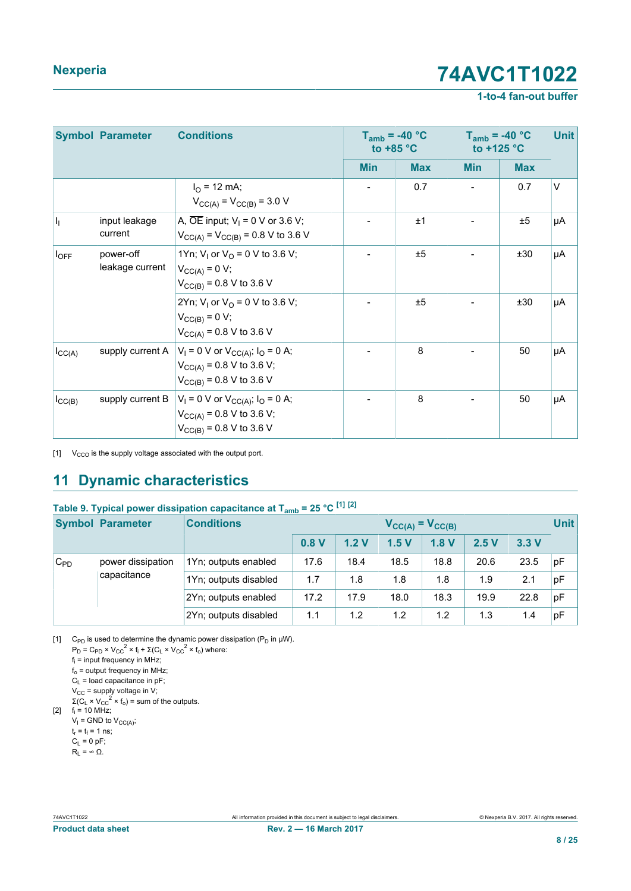#### **1-to-4 fan-out buffer**

<span id="page-7-1"></span><span id="page-7-0"></span>

|                    | <b>Symbol Parameter</b>      | <b>Conditions</b>                                                                                                 |            | $T_{amb}$ = -40 °C<br>to $+85$ °C | $T_{amb}$ = -40 °C<br>to $+125$ °C |            | <b>Unit</b> |
|--------------------|------------------------------|-------------------------------------------------------------------------------------------------------------------|------------|-----------------------------------|------------------------------------|------------|-------------|
|                    |                              |                                                                                                                   | <b>Min</b> | <b>Max</b>                        | <b>Min</b>                         | <b>Max</b> |             |
|                    |                              | $I_{\Omega}$ = 12 mA;<br>$V_{CC(A)} = V_{CC(B)} = 3.0 V$                                                          |            | 0.7                               |                                    | 0.7        | $\vee$      |
| h                  | input leakage<br>current     | A, $\overline{OE}$ input; $V_1 = 0$ V or 3.6 V;<br>$V_{CC(A)} = V_{CC(B)} = 0.8 \text{ V}$ to 3.6 V               |            | ±1                                |                                    | ±5         | μA          |
| $I_{OFF}$          | power-off<br>leakage current | 1Yn; V <sub>1</sub> or V <sub>0</sub> = 0 V to 3.6 V;<br>$V_{CC(A)} = 0 V;$<br>$V_{CC(B)} = 0.8 V$ to 3.6 V       |            | ±5                                |                                    | ±30        | μA          |
|                    |                              | 2Yn; V <sub>1</sub> or V <sub>0</sub> = 0 V to 3.6 V;<br>$V_{CC(B)} = 0 V;$<br>$V_{CC(A)} = 0.8 V$ to 3.6 V       |            | ±5                                |                                    | ±30        | μA          |
| $I_{\text{CC}(A)}$ | supply current A             | $V_1 = 0$ V or $V_{CC(A)}$ ; $I_0 = 0$ A;<br>$V_{CC(A)} = 0.8 V$ to 3.6 V;<br>$V_{CC(B)} = 0.8 V$ to 3.6 V        |            | 8                                 |                                    | 50         | μA          |
| $I_{\text{CC}(B)}$ | supply current B             | $V_1 = 0$ V or $V_{CC(A)}$ ; $I_0 = 0$ A;<br>$V_{CC(A)} = 0.8 V$ to 3.6 V;<br>$V_{\text{CC(B)}}$ = 0.8 V to 3.6 V |            | 8                                 |                                    | 50         | μA          |

 $[1]$  V<sub>CCO</sub> is the supply voltage associated with the output port.

## <span id="page-7-2"></span>**11 Dynamic characteristics**

### **Table 9. Typical power dissipation capacitance at Tamb = 25 °C [\[1\]](#page-7-0) [\[2\]](#page-7-1)**

|          | <b>Symbol Parameter</b> | <b>Conditions</b>     |                  |      | $V_{CC(A)} = V_{CC(B)}$ |      |      |      | <b>Unit</b> |
|----------|-------------------------|-----------------------|------------------|------|-------------------------|------|------|------|-------------|
|          |                         |                       | 0.8 <sub>V</sub> | 1.2V | 1.5V                    | 1.8V | 2.5V | 3.3V |             |
| $C_{PD}$ | power dissipation       | 1Yn; outputs enabled  | 17.6             | 18.4 | 18.5                    | 18.8 | 20.6 | 23.5 | pF          |
|          | capacitance             | 1Yn; outputs disabled | 1.7              | 1.8  | 1.8                     | 1.8  | 1.9  | 2.1  | pF          |
|          |                         | 2Yn; outputs enabled  | 17.2             | 17.9 | 18.0                    | 18.3 | 19.9 | 22.8 | pF          |
|          |                         | 2Yn; outputs disabled | 1.1              | 1.2  | 1.2                     | 1.2  | 1.3  | 1.4  | pF          |

[1] C<sub>PD</sub> is used to determine the dynamic power dissipation (P<sub>D</sub> in  $\mu$ W).  $P_D = C_{PD} \times V_{CC}^2 \times f_i + \Sigma (C_L \times V_{CC}^2 \times f_o)$  where: fi = input frequency in MHz;  $f_0$  = output frequency in MHz;  $C_{L}$  = load capacitance in pF;  $V_{CC}$  = supply voltage in V;  $\Sigma$ (C<sub>L</sub> × V<sub>CC</sub><sup>2</sup> × f<sub>o</sub>) = sum of the outputs. [2]  $f_i = 10 \text{ MHz}$ ;  $V_I$  = GND to  $V_{\text{CC}(A)}$ ;

 $t_r = t_f = 1$  ns;

$$
C_L = 0 \text{ pF};
$$

 $R<sub>L</sub>$  = ∞ Ω.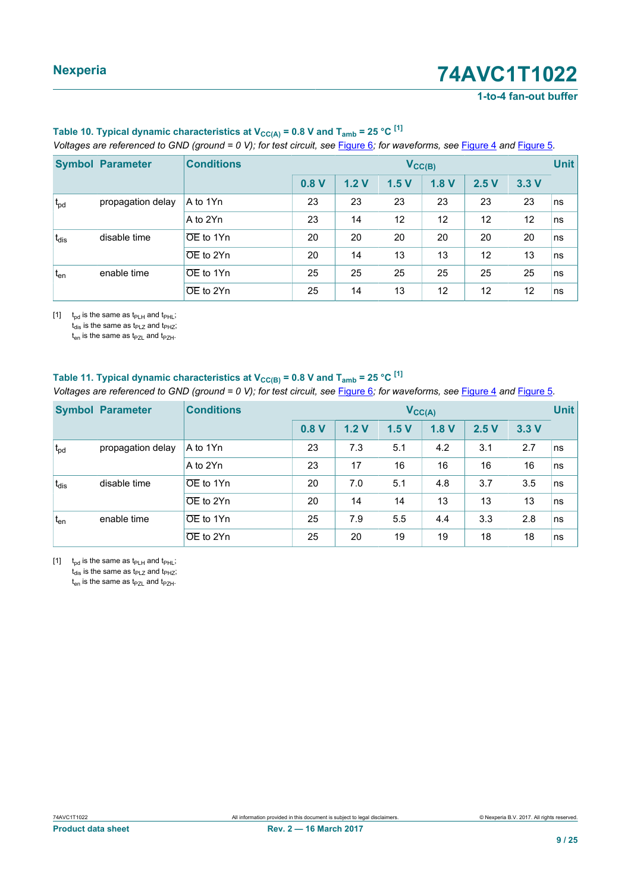#### **1-to-4 fan-out buffer**

| $\frac{1}{2}$ . The contract $\frac{1}{2}$ , $\frac{1}{2}$ , $\frac{1}{2}$ , $\frac{1}{2}$ , $\frac{1}{2}$ , $\frac{1}{2}$ , $\frac{1}{2}$ , $\frac{1}{2}$ , $\frac{1}{2}$ , $\frac{1}{2}$ , $\frac{1}{2}$ , $\frac{1}{2}$ , $\frac{1}{2}$ , $\frac{1}{2}$ , $\frac{1}{2}$ , $\frac{1}{2}$ , $\frac{$ |                         |                        |      |      |                 |      |      |      |             |
|-------------------------------------------------------------------------------------------------------------------------------------------------------------------------------------------------------------------------------------------------------------------------------------------------------|-------------------------|------------------------|------|------|-----------------|------|------|------|-------------|
|                                                                                                                                                                                                                                                                                                       | <b>Symbol Parameter</b> | <b>Conditions</b>      |      |      | $V_{CC(B)}$     |      |      |      | <b>Unit</b> |
|                                                                                                                                                                                                                                                                                                       |                         |                        | 0.8V | 1.2V | 1.5V            | 1.8V | 2.5V | 3.3V |             |
| $t_{pd}$                                                                                                                                                                                                                                                                                              | propagation delay       | A to 1Yn               | 23   | 23   | 23              | 23   | 23   | 23   | ns          |
|                                                                                                                                                                                                                                                                                                       |                         | A to 2Yn               | 23   | 14   | 12 <sup>2</sup> | 12   | 12   | 12   | ns          |
| $t_{dis}$                                                                                                                                                                                                                                                                                             | disable time            | $\overline{OE}$ to 1Yn | 20   | 20   | 20              | 20   | 20   | 20   | ns          |
|                                                                                                                                                                                                                                                                                                       |                         | OE to 2Yn              | 20   | 14   | 13              | 13   | 12   | 13   | ns          |
| $t_{en}$                                                                                                                                                                                                                                                                                              | enable time             | $OE$ to 1Yn            | 25   | 25   | 25              | 25   | 25   | 25   | ns          |
|                                                                                                                                                                                                                                                                                                       |                         | OE to 2Yn              | 25   | 14   | 13              | 12   | 12   | 12   | ns          |

#### <span id="page-8-0"></span>Table 10. Typical dynamic characteristics at  $V_{CC(A)} = 0.8$  V and  $T_{amb} = 25$  °C  $^{[1]}$  $^{[1]}$  $^{[1]}$ *Voltages are referenced to GND (ground = 0 V); for test circuit, see* [Figure 6](#page-14-0)*; for waveforms, see* [Figure 4](#page-13-0) *and* [Figure 5](#page-13-1)*.*

[1]  $t_{\text{od}}$  is the same as  $t_{\text{PLH}}$  and  $t_{\text{PHL}}$ ;

 $t_{dis}$  is the same as  $t_{PLZ}$  and  $t_{PHZ}$ ;  $t_{en}$  is the same as  $t_{PZL}$  and  $t_{PZH}$ .

## Table 11. Typical dynamic characteristics at  $V_{CC(B)} = 0.8$  V and  $T_{amb} = 25$  °C  $^{[1]}$  $^{[1]}$  $^{[1]}$

*Voltages are referenced to GND (ground = 0 V); for test circuit, see* [Figure 6](#page-14-0)*; for waveforms, see* [Figure 4](#page-13-0) *and* [Figure 5](#page-13-1)*.*

|                 | <b>Symbol Parameter</b> | <b>Conditions</b>      |      |      |      | $V_{CC(A)}$ |      |      | <b>Unit</b> |
|-----------------|-------------------------|------------------------|------|------|------|-------------|------|------|-------------|
|                 |                         |                        | 0.8V | 1.2V | 1.5V | 1.8V        | 2.5V | 3.3V |             |
| $t_{\text{pd}}$ | propagation delay       | A to 1Yn               | 23   | 7.3  | 5.1  | 4.2         | 3.1  | 2.7  | ns          |
|                 |                         | A to 2Yn               | 23   | 17   | 16   | 16          | 16   | 16   | ns          |
| $t_{dis}$       | disable time            | $OE$ to 1Yn            | 20   | 7.0  | 5.1  | 4.8         | 3.7  | 3.5  | ns          |
|                 |                         | $OE$ to 2Yn            | 20   | 14   | 14   | 13          | 13   | 13   | ns          |
| $t_{en}$        | enable time             | OE to 1Yn              | 25   | 7.9  | 5.5  | 4.4         | 3.3  | 2.8  | ns          |
|                 |                         | $\overline{OE}$ to 2Yn | 25   | 20   | 19   | 19          | 18   | 18   | ns          |

[1]  $t_{pd}$  is the same as  $t_{PLH}$  and  $t_{PHL}$ ;  $t_{dis}$  is the same as  $t_{PLZ}$  and  $t_{PHZ}$ ;  $t_{en}$  is the same as  $t_{PZL}$  and  $t_{PZH}$ .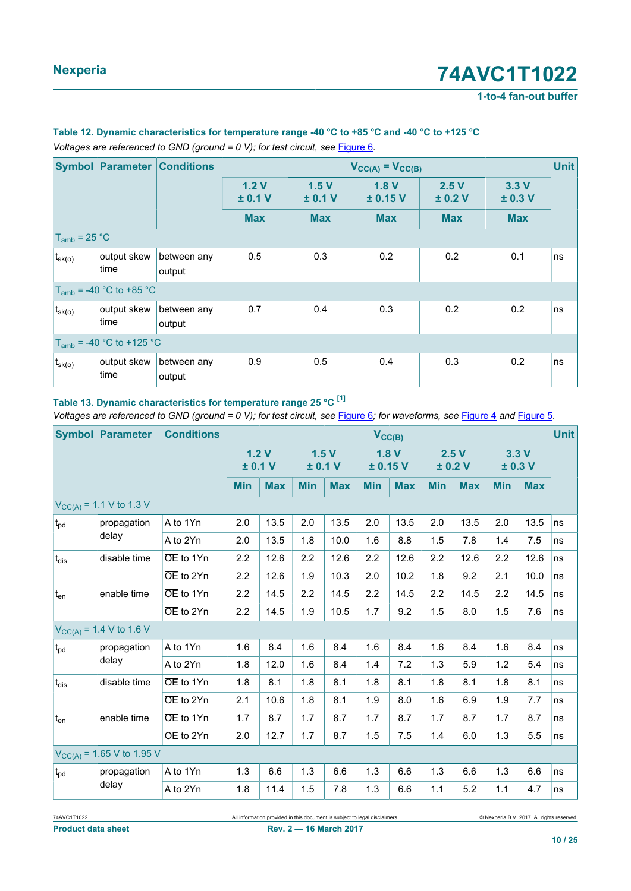**1-to-4 fan-out buffer**

#### **Table 12. Dynamic characteristics for temperature range -40 °C to +85 °C and -40 °C to +125 °C** *Voltages are referenced to GND (ground = 0 V); for test circuit, see [Figure 6](#page-14-0).*

|                   | <b>Symbol Parameter</b>       | <b>Conditions</b>     |               |                 | $V_{CC(A)} = V_{CC(B)}$ |                 |                 | <b>Unit</b> |
|-------------------|-------------------------------|-----------------------|---------------|-----------------|-------------------------|-----------------|-----------------|-------------|
|                   |                               |                       | 1.2V<br>±0.1V | 1.5V<br>± 0.1 V | 1.8V<br>± 0.15 V        | 2.5V<br>± 0.2 V | 3.3V<br>± 0.3 V |             |
|                   |                               |                       | <b>Max</b>    | <b>Max</b>      | <b>Max</b>              | <b>Max</b>      | <b>Max</b>      |             |
| $T_{amb}$ = 25 °C |                               |                       |               |                 |                         |                 |                 |             |
| $t_{\rm sk(o)}$   | output skew<br>time           | between any<br>output | 0.5           | 0.3             | 0.2                     | 0.2             | 0.1             | ns          |
|                   | $T_{amb}$ = -40 °C to +85 °C  |                       |               |                 |                         |                 |                 |             |
| $t_{\rm sk(o)}$   | output skew<br>time           | between any<br>output | 0.7           | 0.4             | 0.3                     | 0.2             | 0.2             | ns          |
|                   | $T_{amb}$ = -40 °C to +125 °C |                       |               |                 |                         |                 |                 |             |
| $t_{s k(0)}$      | output skew<br>time           | between any<br>output | 0.9           | 0.5             | 0.4                     | 0.3             | 0.2             | ns          |

#### **Table 13. Dynamic characteristics for temperature range 25 °C [\[1\]](#page-10-0)**

*Voltages are referenced to GND (ground = 0 V); for test circuit, see [Figure 6](#page-14-0); for waveforms, see [Figure 4](#page-13-0) and [Figure 5](#page-13-1).* 

|                 | <b>Symbol Parameter</b>             | <b>Conditions</b> |            |                 |            |            | $V_{CC(B)}$ |            |            |                 |            |               | <b>Unit</b> |
|-----------------|-------------------------------------|-------------------|------------|-----------------|------------|------------|-------------|------------|------------|-----------------|------------|---------------|-------------|
|                 |                                     |                   |            | 1.2V<br>± 0.1 V | ± 0.1 V    | 1.5V       | ±0.15V      | 1.8V       |            | 2.5V<br>± 0.2 V |            | 3.3V<br>±0.3V |             |
|                 |                                     |                   | <b>Min</b> | <b>Max</b>      | <b>Min</b> | <b>Max</b> | <b>Min</b>  | <b>Max</b> | <b>Min</b> | <b>Max</b>      | <b>Min</b> | <b>Max</b>    |             |
|                 | $V_{\text{CC(A)}}$ = 1.1 V to 1.3 V |                   |            |                 |            |            |             |            |            |                 |            |               |             |
| $t_{pd}$        | propagation                         | A to 1Yn          | 2.0        | 13.5            | 2.0        | 13.5       | 2.0         | 13.5       | 2.0        | 13.5            | 2.0        | 13.5          | ns          |
|                 | delay                               | A to 2Yn          | 2.0        | 13.5            | 1.8        | 10.0       | 1.6         | 8.8        | 1.5        | 7.8             | 1.4        | 7.5           | ns          |
| $t_{dis}$       | disable time                        | OE to 1Yn         | 2.2        | 12.6            | 2.2        | 12.6       | 2.2         | 12.6       | 2.2        | 12.6            | 2.2        | 12.6          | ns          |
|                 |                                     | OE to 2Yn         | 2.2        | 12.6            | 1.9        | 10.3       | 2.0         | 10.2       | 1.8        | 9.2             | 2.1        | 10.0          | ns          |
| $t_{en}$        | enable time                         | OE to 1Yn         | 2.2        | 14.5            | 2.2        | 14.5       | 2.2         | 14.5       | 2.2        | 14.5            | 2.2        | 14.5          | ns          |
|                 |                                     | OE to 2Yn         | 2.2        | 14.5            | 1.9        | 10.5       | 1.7         | 9.2        | 1.5        | 8.0             | 1.5        | 7.6           | ns          |
|                 | $V_{CC(A)} = 1.4 V$ to 1.6 V        |                   |            |                 |            |            |             |            |            |                 |            |               |             |
| $t_{\text{pd}}$ | propagation                         | A to 1Yn          | 1.6        | 8.4             | 1.6        | 8.4        | 1.6         | 8.4        | 1.6        | 8.4             | 1.6        | 8.4           | ns          |
|                 | delay                               | A to 2Yn          | 1.8        | 12.0            | 1.6        | 8.4        | 1.4         | 7.2        | 1.3        | 5.9             | 1.2        | 5.4           | ns          |
| $t_{dis}$       | disable time                        | OE to 1Yn         | 1.8        | 8.1             | 1.8        | 8.1        | 1.8         | 8.1        | 1.8        | 8.1             | 1.8        | 8.1           | ns          |
|                 |                                     | OE to 2Yn         | 2.1        | 10.6            | 1.8        | 8.1        | 1.9         | 8.0        | 1.6        | 6.9             | 1.9        | 7.7           | ns          |
| $t_{en}$        | enable time                         | OE to 1Yn         | 1.7        | 8.7             | 1.7        | 8.7        | 1.7         | 8.7        | 1.7        | 8.7             | 1.7        | 8.7           | ns          |
|                 |                                     | OE to 2Yn         | 2.0        | 12.7            | 1.7        | 8.7        | 1.5         | 7.5        | 1.4        | 6.0             | 1.3        | 5.5           | ns          |
|                 | $V_{CC(A)}$ = 1.65 V to 1.95 V      |                   |            |                 |            |            |             |            |            |                 |            |               |             |
| $t_{pd}$        | propagation                         | A to 1Yn          | 1.3        | 6.6             | 1.3        | 6.6        | 1.3         | 6.6        | 1.3        | 6.6             | 1.3        | 6.6           | ns          |
|                 | delay                               | A to 2Yn          | 1.8        | 11.4            | 1.5        | 7.8        | 1.3         | 6.6        | 1.1        | 5.2             | 1.1        | 4.7           | ns          |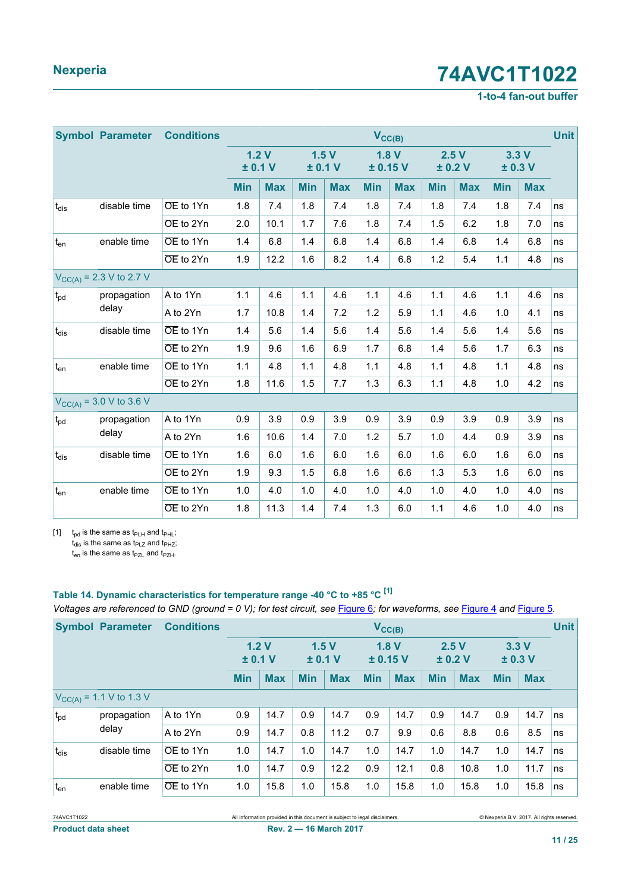### **1-to-4 fan-out buffer**

<span id="page-10-0"></span>

|                   | <b>Symbol Parameter</b>             | <b>Conditions</b> |            |            |                 |            | $V_{CC(B)}$      |            |            |            |            |            | <b>Unit</b> |
|-------------------|-------------------------------------|-------------------|------------|------------|-----------------|------------|------------------|------------|------------|------------|------------|------------|-------------|
|                   |                                     |                   | ± 0.1 V    | 1.2V       | 1.5V<br>± 0.1 V |            | 1.8V<br>± 0.15 V |            | ± 0.2 V    | 2.5V       | ±0.3V      | 3.3V       |             |
|                   |                                     |                   | <b>Min</b> | <b>Max</b> | <b>Min</b>      | <b>Max</b> | <b>Min</b>       | <b>Max</b> | <b>Min</b> | <b>Max</b> | <b>Min</b> | <b>Max</b> |             |
| $t_{dis}$         | disable time                        | OE to 1Yn         | 1.8        | 7.4        | 1.8             | 7.4        | 1.8              | 7.4        | 1.8        | 7.4        | 1.8        | 7.4        | ns          |
|                   |                                     | OE to 2Yn         | 2.0        | 10.1       | 1.7             | 7.6        | 1.8              | 7.4        | 1.5        | 6.2        | 1.8        | 7.0        | ns          |
| $t_{en}$          | enable time                         | OE to 1Yn         | 1.4        | 6.8        | 1.4             | 6.8        | 1.4              | 6.8        | 1.4        | 6.8        | 1.4        | 6.8        | ns          |
|                   |                                     | OE to 2Yn         | 1.9        | 12.2       | 1.6             | 8.2        | 1.4              | 6.8        | 1.2        | 5.4        | 1.1        | 4.8        | ns          |
|                   | $V_{\text{CC(A)}}$ = 2.3 V to 2.7 V |                   |            |            |                 |            |                  |            |            |            |            |            |             |
| $t_{pd}$          | propagation                         | A to 1Yn          | 1.1        | 4.6        | 1.1             | 4.6        | 1.1              | 4.6        | 1.1        | 4.6        | 1.1        | 4.6        | ns          |
|                   | delay                               | A to 2Yn          | 1.7        | 10.8       | 1.4             | 7.2        | 1.2              | 5.9        | 1.1        | 4.6        | 1.0        | 4.1        | ns          |
| $t_{dis}$         | disable time                        | OE to 1Yn         | 1.4        | 5.6        | 1.4             | 5.6        | 1.4              | 5.6        | 1.4        | 5.6        | 1.4        | 5.6        | ns          |
|                   |                                     | OE to 2Yn         | 1.9        | 9.6        | 1.6             | 6.9        | 1.7              | 6.8        | 1.4        | 5.6        | 1.7        | 6.3        | ns          |
| $t_{en}$          | enable time                         | OE to 1Yn         | 1.1        | 4.8        | 1.1             | 4.8        | 1.1              | 4.8        | 1.1        | 4.8        | 1.1        | 4.8        | ns          |
|                   |                                     | OE to 2Yn         | 1.8        | 11.6       | 1.5             | 7.7        | 1.3              | 6.3        | 1.1        | 4.8        | 1.0        | 4.2        | ns          |
|                   | $V_{CC(A)} = 3.0 V$ to 3.6 V        |                   |            |            |                 |            |                  |            |            |            |            |            |             |
| $t_{pd}$          | propagation                         | A to 1Yn          | 0.9        | 3.9        | 0.9             | 3.9        | 0.9              | 3.9        | 0.9        | 3.9        | 0.9        | 3.9        | ns          |
|                   | delay                               | A to 2Yn          | 1.6        | 10.6       | 1.4             | 7.0        | 1.2              | 5.7        | 1.0        | 4.4        | 0.9        | 3.9        | ns          |
| $t_{dis}$         | disable time                        | OE to 1Yn         | 1.6        | 6.0        | 1.6             | 6.0        | 1.6              | 6.0        | 1.6        | 6.0        | 1.6        | 6.0        | ns          |
|                   |                                     | OE to 2Yn         | 1.9        | 9.3        | 1.5             | 6.8        | 1.6              | 6.6        | 1.3        | 5.3        | 1.6        | 6.0        | ns          |
| $t_{\mathsf{en}}$ | enable time                         | OE to 1Yn         | 1.0        | 4.0        | 1.0             | 4.0        | 1.0              | 4.0        | 1.0        | 4.0        | 1.0        | 4.0        | ns          |
|                   |                                     | OE to 2Yn         | 1.8        | 11.3       | 1.4             | 7.4        | 1.3              | 6.0        | 1.1        | 4.6        | 1.0        | 4.0        | ns          |

[1]  $t_{pd}$  is the same as  $t_{PLH}$  and  $t_{PHL}$ ;

 $t_{dis}$  is the same as  $t_{PLZ}$  and  $t_{PHZ}$ ;

 $t_{en}$  is the same as  $t_{PZL}$  and  $t_{PZH}$ .

## **Table 14. Dynamic characteristics for temperature range -40 °C to +85 °C [\[1\]](#page-11-0)**

*Voltages are referenced to GND (ground = 0 V); for test circuit, see [Figure 6](#page-14-0); for waveforms, see [Figure 4](#page-13-0) and [Figure 5](#page-13-1).* 

|                 | <b>Symbol Parameter</b>             | <b>Conditions</b>      |               |            |                                     |            |               | $V_{\text{CC}(B)}$ |               |            |            |            | <b>Unit</b> |
|-----------------|-------------------------------------|------------------------|---------------|------------|-------------------------------------|------------|---------------|--------------------|---------------|------------|------------|------------|-------------|
|                 |                                     |                        | 1.2V<br>±0.1V |            | 1.8V<br>1.5V<br>± 0.15 V<br>± 0.1 V |            | 2.5V<br>±0.2V |                    | 3.3V<br>±0.3V |            |            |            |             |
|                 |                                     |                        | <b>Min</b>    | <b>Max</b> | <b>Min</b>                          | <b>Max</b> | <b>Min</b>    | <b>Max</b>         | <b>Min</b>    | <b>Max</b> | <b>Min</b> | <b>Max</b> |             |
|                 | $V_{\text{CC(A)}}$ = 1.1 V to 1.3 V |                        |               |            |                                     |            |               |                    |               |            |            |            |             |
| $t_{\rm pd}$    | propagation                         | A to 1Yn               | 0.9           | 14.7       | 0.9                                 | 14.7       | 0.9           | 14.7               | 0.9           | 14.7       | 0.9        | 14.7       | ns          |
|                 | delay                               | A to 2Yn               | 0.9           | 14.7       | 0.8                                 | 11.2       | 0.7           | 9.9                | 0.6           | 8.8        | 0.6        | 8.5        | ns          |
| $t_{dis}$       | disable time                        | OE to 1Yn              | 1.0           | 14.7       | 1.0                                 | 14.7       | 1.0           | 14.7               | 1.0           | 14.7       | 1.0        | 14.7       | ns          |
|                 |                                     | $\overline{OE}$ to 2Yn | 1.0           | 14.7       | 0.9                                 | 12.2       | 0.9           | 12.1               | 0.8           | 10.8       | 1.0        | 11.7       | ns          |
| t <sub>en</sub> | enable time                         | $\overline{OE}$ to 1Yn | 1.0           | 15.8       | 1.0                                 | 15.8       | 1.0           | 15.8               | 1.0           | 15.8       | 1.0        | 15.8       | ns          |

**Product data sheet Rev. 2 — 16 March 2017**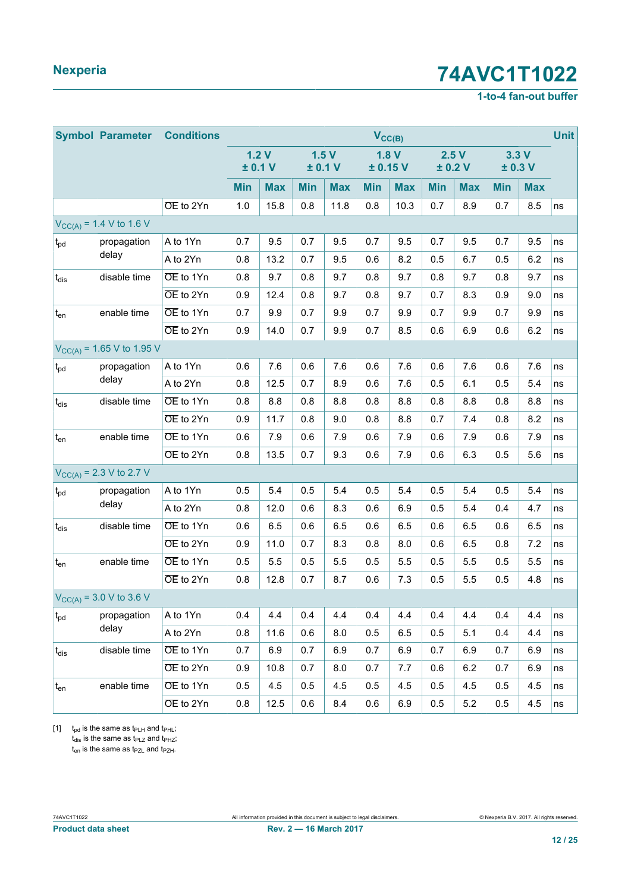### **1-to-4 fan-out buffer**

<span id="page-11-0"></span>

|                                | <b>Symbol Parameter</b>        | <b>Conditions</b>      |            |                 |            |                 | $V_{CC(B)}$ |            |            |            |            |                 | <b>Unit</b> |
|--------------------------------|--------------------------------|------------------------|------------|-----------------|------------|-----------------|-------------|------------|------------|------------|------------|-----------------|-------------|
|                                |                                |                        |            | 1.2V<br>± 0.1 V |            | 1.5V<br>± 0.1 V | ± 0.15 V    | 1.8V       | ± 0.2 V    | 2.5V       |            | 3.3V<br>± 0.3 V |             |
|                                |                                |                        | <b>Min</b> | <b>Max</b>      | <b>Min</b> | <b>Max</b>      | <b>Min</b>  | <b>Max</b> | <b>Min</b> | <b>Max</b> | <b>Min</b> | <b>Max</b>      |             |
|                                |                                | OE to 2Yn              | 1.0        | 15.8            | 0.8        | 11.8            | 0.8         | 10.3       | 0.7        | 8.9        | 0.7        | 8.5             | ns          |
|                                | $V_{CC(A)} = 1.4 V$ to 1.6 V   |                        |            |                 |            |                 |             |            |            |            |            |                 |             |
| t <sub>pd</sub>                | propagation                    | A to 1Yn               | 0.7        | 9.5             | 0.7        | 9.5             | 0.7         | 9.5        | 0.7        | 9.5        | 0.7        | 9.5             | ns          |
|                                | delay                          | A to 2Yn               | 0.8        | 13.2            | 0.7        | 9.5             | 0.6         | 8.2        | 0.5        | 6.7        | 0.5        | 6.2             | ns          |
| $t_{dis}$                      | disable time                   | OE to 1Yn              | 0.8        | 9.7             | 0.8        | 9.7             | 0.8         | 9.7        | 0.8        | 9.7        | 0.8        | 9.7             | ns          |
|                                |                                | OE to 2Yn              | 0.9        | 12.4            | 0.8        | 9.7             | 0.8         | 9.7        | 0.7        | 8.3        | 0.9        | 9.0             | ns          |
| $\mathfrak{t}_{\text{\rm en}}$ | enable time                    | OE to 1Yn              | 0.7        | 9.9             | 0.7        | 9.9             | 0.7         | 9.9        | 0.7        | 9.9        | 0.7        | 9.9             | ns          |
|                                |                                | OE to 2Yn              | 0.9        | 14.0            | 0.7        | 9.9             | 0.7         | 8.5        | 0.6        | 6.9        | 0.6        | 6.2             | ns          |
|                                | $V_{CC(A)} = 1.65$ V to 1.95 V |                        |            |                 |            |                 |             |            |            |            |            |                 |             |
| $t_{pd}$                       | propagation                    | A to 1Yn               | 0.6        | 7.6             | 0.6        | 7.6             | 0.6         | 7.6        | 0.6        | 7.6        | 0.6        | 7.6             | ns          |
|                                | delay                          | A to 2Yn               | 0.8        | 12.5            | 0.7        | 8.9             | 0.6         | 7.6        | 0.5        | 6.1        | 0.5        | 5.4             | ns          |
| $t_{dis}$                      | disable time                   | OE to 1Yn              | 0.8        | 8.8             | 0.8        | 8.8             | 0.8         | 8.8        | 0.8        | 8.8        | 0.8        | 8.8             | ns          |
|                                |                                | OE to 2Yn              | 0.9        | 11.7            | 0.8        | 9.0             | 0.8         | 8.8        | 0.7        | 7.4        | 0.8        | 8.2             | ns          |
| $t_{en}$                       | enable time                    | OE to 1Yn              | 0.6        | 7.9             | 0.6        | 7.9             | 0.6         | 7.9        | 0.6        | 7.9        | 0.6        | 7.9             | ns          |
|                                |                                | OE to 2Yn              | 0.8        | 13.5            | 0.7        | 9.3             | 0.6         | 7.9        | 0.6        | 6.3        | 0.5        | 5.6             | ns          |
|                                | $V_{CC(A)} = 2.3 V$ to 2.7 V   |                        |            |                 |            |                 |             |            |            |            |            |                 |             |
| $t_{\text{pd}}$                | propagation                    | A to 1Yn               | 0.5        | 5.4             | 0.5        | 5.4             | 0.5         | 5.4        | 0.5        | 5.4        | 0.5        | 5.4             | ns          |
|                                | delay                          | A to 2Yn               | 0.8        | 12.0            | 0.6        | 8.3             | 0.6         | 6.9        | 0.5        | 5.4        | 0.4        | 4.7             | ns          |
| t <sub>dis</sub>               | disable time                   | OE to 1Yn              | 0.6        | 6.5             | 0.6        | 6.5             | 0.6         | 6.5        | 0.6        | 6.5        | 0.6        | 6.5             | ns          |
|                                |                                | $\overline{OE}$ to 2Yn | 0.9        | 11.0            | 0.7        | 8.3             | 0.8         | 8.0        | 0.6        | 6.5        | 0.8        | 7.2             | ns          |
| $t_{en}$                       | enable time                    | OE to 1Yn              | 0.5        | 5.5             | 0.5        | 5.5             | 0.5         | 5.5        | 0.5        | 5.5        | 0.5        | 5.5             | ns          |
|                                |                                | OE to 2Yn              | 0.8        | 12.8            | 0.7        | 8.7             | 0.6         | 7.3        | 0.5        | 5.5        | 0.5        | 4.8             | ns          |
|                                | $V_{CC(A)} = 3.0 V$ to 3.6 V   |                        |            |                 |            |                 |             |            |            |            |            |                 |             |
| $t_{\rm pd}$                   | propagation                    | A to 1Yn               | 0.4        | 4.4             | 0.4        | 4.4             | 0.4         | 4.4        | 0.4        | 4.4        | 0.4        | 4.4             | ns          |
|                                | delay                          | A to 2Yn               | 0.8        | 11.6            | 0.6        | 8.0             | 0.5         | 6.5        | 0.5        | 5.1        | 0.4        | 4.4             | ns          |
| $ t_{dis} $                    | disable time                   | OE to 1Yn              | 0.7        | 6.9             | 0.7        | 6.9             | 0.7         | 6.9        | 0.7        | 6.9        | 0.7        | 6.9             | ns          |
|                                |                                | OE to 2Yn              | 0.9        | 10.8            | 0.7        | 8.0             | 0.7         | 7.7        | 0.6        | 6.2        | 0.7        | 6.9             | ns          |
| $t_{en}$                       | enable time                    | OE to 1Yn              | 0.5        | 4.5             | 0.5        | 4.5             | 0.5         | 4.5        | 0.5        | 4.5        | 0.5        | 4.5             | ns          |
|                                |                                | OE to 2Yn              | 0.8        | 12.5            | 0.6        | 8.4             | 0.6         | 6.9        | 0.5        | 5.2        | 0.5        | 4.5             | ns          |

[1]  $t_{pd}$  is the same as  $t_{PLH}$  and  $t_{PHL}$ ;  $t_{dis}$  is the same as  $t_{PLZ}$  and  $t_{PHZ}$ ;

 $t_{en}$  is the same as  $t_{PZL}$  and  $t_{PZH}$ .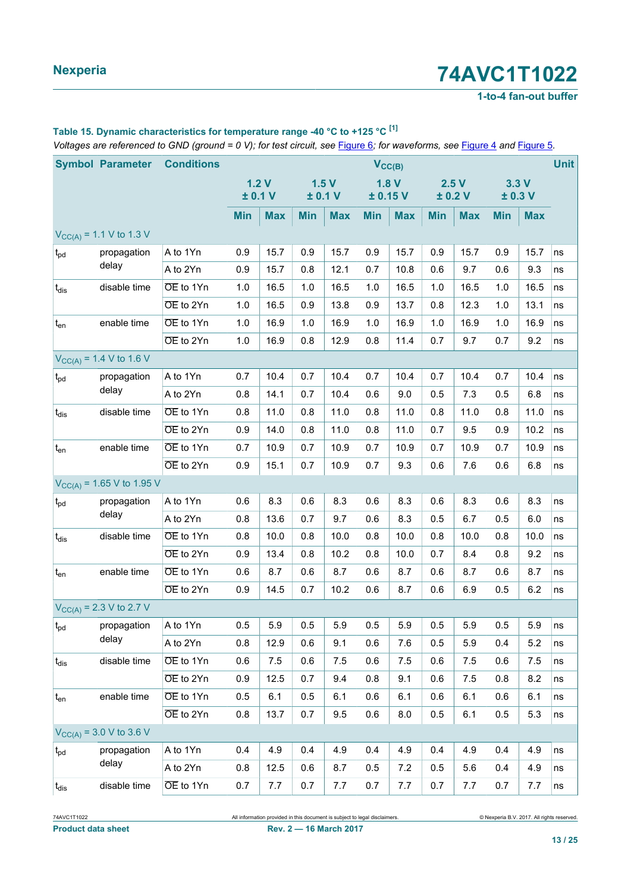#### **1-to-4 fan-out buffer**

## **Table 15. Dynamic characteristics for temperature range -40 °C to +125 °C [\[1\]](#page-13-2)**

*Voltages are referenced to GND (ground = 0 V); for test circuit, see* [Figure 6](#page-14-0)*; for waveforms, see* [Figure 4](#page-13-0) *and* [Figure 5](#page-13-1)*.*

|                   | <b>Symbol Parameter</b>        | <b>Conditions</b>      |            |                 |            |                 |            | $V_{CC(B)}$      |            |                 |            |               | <b>Unit</b> |
|-------------------|--------------------------------|------------------------|------------|-----------------|------------|-----------------|------------|------------------|------------|-----------------|------------|---------------|-------------|
|                   |                                |                        |            | 1.2V<br>± 0.1 V |            | 1.5V<br>± 0.1 V |            | 1.8V<br>± 0.15 V |            | 2.5V<br>± 0.2 V |            | 3.3V<br>±0.3V |             |
|                   |                                |                        | <b>Min</b> | <b>Max</b>      | <b>Min</b> | <b>Max</b>      | <b>Min</b> | <b>Max</b>       | <b>Min</b> | <b>Max</b>      | <b>Min</b> | <b>Max</b>    |             |
|                   | $V_{CC(A)} = 1.1 V$ to 1.3 V   |                        |            |                 |            |                 |            |                  |            |                 |            |               |             |
| $t_{pd}$          | propagation                    | A to 1Yn               | 0.9        | 15.7            | 0.9        | 15.7            | 0.9        | 15.7             | 0.9        | 15.7            | 0.9        | 15.7          | ns          |
|                   | delay                          | A to 2Yn               | 0.9        | 15.7            | 0.8        | 12.1            | 0.7        | 10.8             | 0.6        | 9.7             | 0.6        | 9.3           | ns          |
| $t_{dis}$         | disable time                   | OE to 1Yn              | 1.0        | 16.5            | 1.0        | 16.5            | 1.0        | 16.5             | 1.0        | 16.5            | 1.0        | 16.5          | ns          |
|                   |                                | OE to 2Yn              | 1.0        | 16.5            | 0.9        | 13.8            | 0.9        | 13.7             | 0.8        | 12.3            | 1.0        | 13.1          | ns          |
| $t_{en}$          | enable time                    | OE to 1Yn              | 1.0        | 16.9            | 1.0        | 16.9            | 1.0        | 16.9             | 1.0        | 16.9            | 1.0        | 16.9          | ns          |
|                   |                                | OE to 2Yn              | 1.0        | 16.9            | 0.8        | 12.9            | 0.8        | 11.4             | 0.7        | 9.7             | 0.7        | 9.2           | ns          |
|                   | $V_{CC(A)} = 1.4 V$ to 1.6 V   |                        |            |                 |            |                 |            |                  |            |                 |            |               |             |
| $t_{\text{pd}}$   | propagation                    | A to 1Yn               | 0.7        | 10.4            | 0.7        | 10.4            | 0.7        | 10.4             | 0.7        | 10.4            | 0.7        | 10.4          | ns          |
|                   | delay                          | A to 2Yn               | 0.8        | 14.1            | 0.7        | 10.4            | 0.6        | 9.0              | 0.5        | 7.3             | 0.5        | 6.8           | ns          |
| $t_{dis}$         | disable time                   | OE to 1Yn              | 0.8        | 11.0            | 0.8        | 11.0            | 0.8        | 11.0             | 0.8        | 11.0            | 0.8        | 11.0          | ns          |
|                   |                                | OE to 2Yn              | 0.9        | 14.0            | 0.8        | 11.0            | 0.8        | 11.0             | 0.7        | 9.5             | 0.9        | 10.2          | ns          |
| $t_{en}$          | enable time                    | OE to 1Yn              | 0.7        | 10.9            | 0.7        | 10.9            | 0.7        | 10.9             | 0.7        | 10.9            | 0.7        | 10.9          | ns          |
|                   |                                | $\overline{OE}$ to 2Yn | 0.9        | 15.1            | 0.7        | 10.9            | 0.7        | 9.3              | 0.6        | 7.6             | 0.6        | 6.8           | ns          |
|                   | $V_{CC(A)} = 1.65$ V to 1.95 V |                        |            |                 |            |                 |            |                  |            |                 |            |               |             |
| $t_{pd}$          | propagation                    | A to 1Yn               | 0.6        | 8.3             | 0.6        | 8.3             | $0.6\,$    | 8.3              | 0.6        | 8.3             | 0.6        | 8.3           | ns          |
|                   | delay                          | A to 2Yn               | 0.8        | 13.6            | 0.7        | 9.7             | 0.6        | 8.3              | 0.5        | 6.7             | 0.5        | 6.0           | ns          |
| $t_{dis}$         | disable time                   | OE to 1Yn              | 0.8        | 10.0            | 0.8        | 10.0            | 0.8        | 10.0             | 0.8        | 10.0            | 0.8        | 10.0          | ns          |
|                   |                                | $\overline{OE}$ to 2Yn | 0.9        | 13.4            | 0.8        | 10.2            | 0.8        | 10.0             | 0.7        | 8.4             | 0.8        | 9.2           | ns          |
| $t_{en}$          | enable time                    | OE to 1Yn              | 0.6        | 8.7             | 0.6        | 8.7             | 0.6        | 8.7              | 0.6        | 8.7             | 0.6        | 8.7           | ns          |
|                   |                                | OE to 2Yn              | 0.9        | 14.5            | 0.7        | 10.2            | 0.6        | 8.7              | 0.6        | 6.9             | 0.5        | 6.2           | ns          |
|                   | $V_{CC(A)} = 2.3 V$ to 2.7 V   |                        |            |                 |            |                 |            |                  |            |                 |            |               |             |
| $ t_{\text{pd}} $ | propagation                    | A to 1Yn               | 0.5        | 5.9             | 0.5        | 5.9             | 0.5        | 5.9              | 0.5        | $5.9\,$         | 0.5        | 5.9           | ns          |
|                   | delay                          | A to 2Yn               | 0.8        | 12.9            | 0.6        | 9.1             | 0.6        | 7.6              | 0.5        | 5.9             | 0.4        | 5.2           | ns          |
| $t_{dis}$         | disable time                   | OE to 1Yn              | 0.6        | 7.5             | 0.6        | 7.5             | 0.6        | 7.5              | 0.6        | 7.5             | 0.6        | 7.5           | ns          |
|                   |                                | $\overline{OE}$ to 2Yn | 0.9        | 12.5            | 0.7        | 9.4             | 0.8        | 9.1              | 0.6        | 7.5             | 0.8        | 8.2           | ns          |
| $t_{en}$          | enable time                    | OE to 1Yn              | 0.5        | 6.1             | 0.5        | 6.1             | 0.6        | 6.1              | 0.6        | 6.1             | 0.6        | 6.1           | ns          |
|                   |                                | OE to 2Yn              | 0.8        | 13.7            | 0.7        | 9.5             | 0.6        | 8.0              | 0.5        | 6.1             | 0.5        | 5.3           | ns          |
|                   | $V_{CC(A)} = 3.0 V$ to 3.6 V   |                        |            |                 |            |                 |            |                  |            |                 |            |               |             |
| $t_{\text{pd}}$   | propagation                    | A to 1Yn               | 0.4        | 4.9             | 0.4        | 4.9             | 0.4        | 4.9              | 0.4        | 4.9             | 0.4        | 4.9           | ns          |
|                   | delay                          | A to 2Yn               | 0.8        | 12.5            | 0.6        | 8.7             | 0.5        | 7.2              | 0.5        | 5.6             | 0.4        | 4.9           | ns          |
| $t_{dis}$         | disable time                   | OE to 1Yn              | 0.7        | 7.7             | 0.7        | 7.7             | 0.7        | 7.7              | 0.7        | 7.7             | 0.7        | 7.7           | ns          |

**Product data sheet Rev. 2 — 16 March 2017**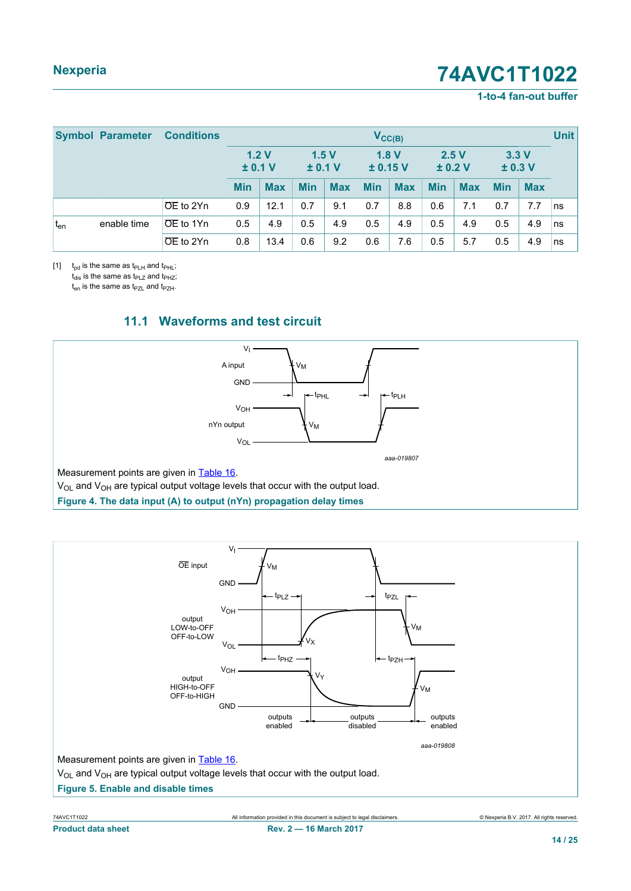#### **1-to-4 fan-out buffer**

<span id="page-13-2"></span>

|          | <b>Symbol Parameter</b> | <b>Conditions</b>      | $V_{\text{CC}(B)}$ |            |                 |            |                  |            |                 |            | <b>Unit</b>   |            |    |
|----------|-------------------------|------------------------|--------------------|------------|-----------------|------------|------------------|------------|-----------------|------------|---------------|------------|----|
|          |                         |                        | ± 0.1 V            | 1.2V       | 1.5V<br>± 0.1 V |            | 1.8V<br>± 0.15 V |            | 2.5V<br>± 0.2 V |            | 3.3V<br>±0.3V |            |    |
|          |                         |                        | <b>Min</b>         | <b>Max</b> | <b>Min</b>      | <b>Max</b> | <b>Min</b>       | <b>Max</b> | <b>Min</b>      | <b>Max</b> | <b>Min</b>    | <b>Max</b> |    |
|          |                         | OE to 2Yn              | 0.9                | 12.1       | 0.7             | 9.1        | 0.7              | 8.8        | 0.6             | 7.1        | 0.7           | 7.7        | ns |
| $t_{en}$ | enable time             | $\overline{OE}$ to 1Yn | 0.5                | 4.9        | 0.5             | 4.9        | 0.5              | 4.9        | 0.5             | 4.9        | 0.5           | 4.9        | ns |
|          |                         | ∣OE to 2Yn             | 0.8                | 13.4       | 0.6             | 9.2        | 0.6              | 7.6        | 0.5             | 5.7        | 0.5           | 4.9        | ns |

[1]  $t_{pd}$  is the same as  $t_{PLH}$  and  $t_{PHL}$ ;  $t_{dis}$  is the same as  $t_{PLZ}$  and  $t_{PHZ}$ ;

 $t_{en}$  is the same as  $t_{PZL}$  and  $t_{PZH}$ .

<span id="page-13-0"></span>

### <span id="page-13-3"></span>**11.1 Waveforms and test circuit**



Measurement points are given in [Table 16](#page-14-1).

 $V_{OL}$  and  $V_{OH}$  are typical output voltage levels that occur with the output load.

**Figure 4. The data input (A) to output (nYn) propagation delay times**

<span id="page-13-1"></span>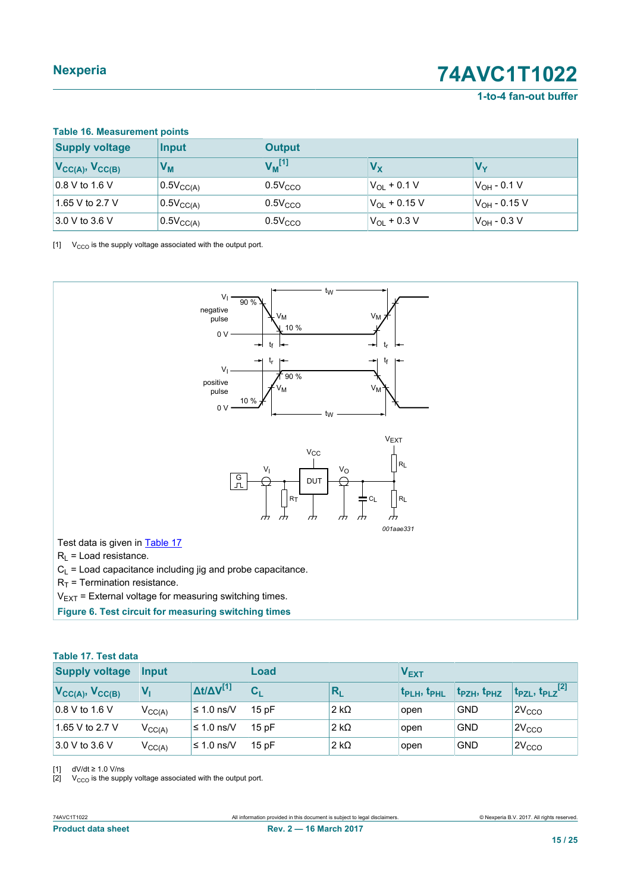**1-to-4 fan-out buffer**

<span id="page-14-4"></span><span id="page-14-2"></span><span id="page-14-1"></span>

| <b>Supply voltage</b>     | Input          | <b>Output</b>        |                         |                          |
|---------------------------|----------------|----------------------|-------------------------|--------------------------|
| $V_{CC(A)}$ , $V_{CC(B)}$ | V <sub>м</sub> | $V_M$ <sup>[1]</sup> | $V_{\mathsf{X}}$        |                          |
| 0.8 V to 1.6 V            | $0.5V_{CC(A)}$ | 0.5V <sub>CCO</sub>  | $V_{OL}$ + 0.1 V        | ∣V <sub>OH</sub> - 0.1 V |
| 1.65 V to 2.7 V           | $0.5V_{CC(A)}$ | 0.5V <sub>CCO</sub>  | $V_{\Omega I}$ + 0.15 V | $V_{\text{OH}}$ - 0.15 V |
| 3.0 V to 3.6 V            | $0.5V_{CC(A)}$ | $0.5V_{CCO}$         | $V_{OL}$ + 0.3 V        | $ V_{\rm OH}$ - 0.3 V    |

 $[1]$  V<sub>CCO</sub> is the supply voltage associated with the output port.

<span id="page-14-0"></span>

#### <span id="page-14-3"></span>**Table 17. Test data**

| <b>Supply voltage</b>     | Input       |                           | Load  |              | <b>VEXT</b>        |                                     |                                              |
|---------------------------|-------------|---------------------------|-------|--------------|--------------------|-------------------------------------|----------------------------------------------|
| $V_{CC(A)}$ , $V_{CC(B)}$ | Vı          | $\Delta t/\Delta V^{[1]}$ | $C_L$ | $R_{I}$      | <b>t</b> pLH, tpHL | t <sub>PZH</sub> , t <sub>PHZ</sub> | $t_{\sf PZL}$ , $t_{\sf PLZ}$ <sup>[2]</sup> |
| $\vert$ 0.8 V to 1.6 V    | $V_{CC(A)}$ | $\leq 1.0$ ns/V           | 15pF  | 2 k $\Omega$ | open               | <b>GND</b>                          | 2V <sub>CCO</sub>                            |
| 1.65 V to 2.7 V           | $V_{CC(A)}$ | $\leq 1.0$ ns/V           | 15pF  | 2 k $\Omega$ | open               | <b>GND</b>                          | 2V <sub>CCO</sub>                            |
| 3.0 V to 3.6 V            | $V_{CC(A)}$ | ≤ 1.0 ns/ $V$             | 15pF  | 2 k $\Omega$ | open               | <b>GND</b>                          | 2V <sub>CCO</sub>                            |

[1] dV/dt ≥ 1.0 V/ns<br>[2] V<sub>CCO</sub> is the supp

 $V_{\rm{CCO}}$  is the supply voltage associated with the output port.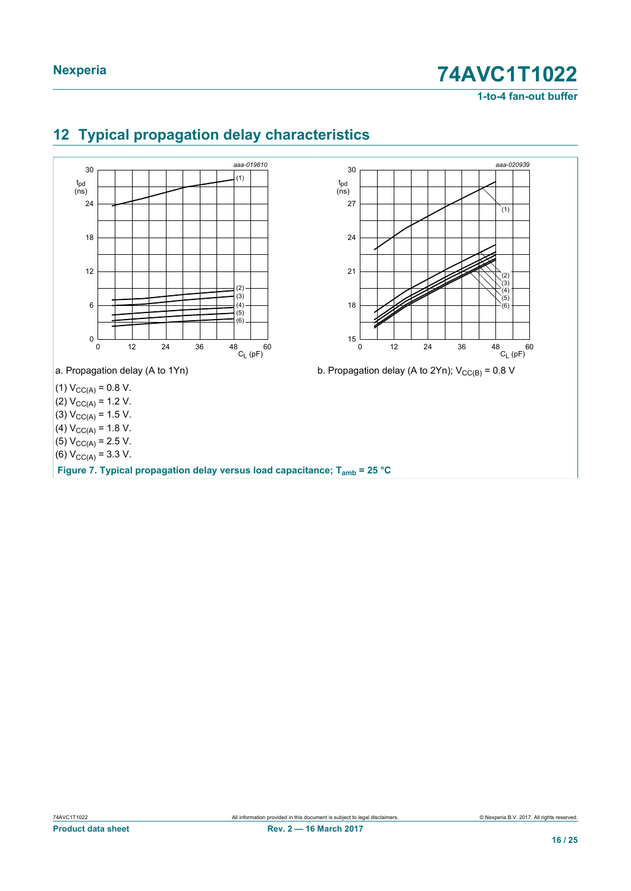**1-to-4 fan-out buffer**

<span id="page-15-0"></span>

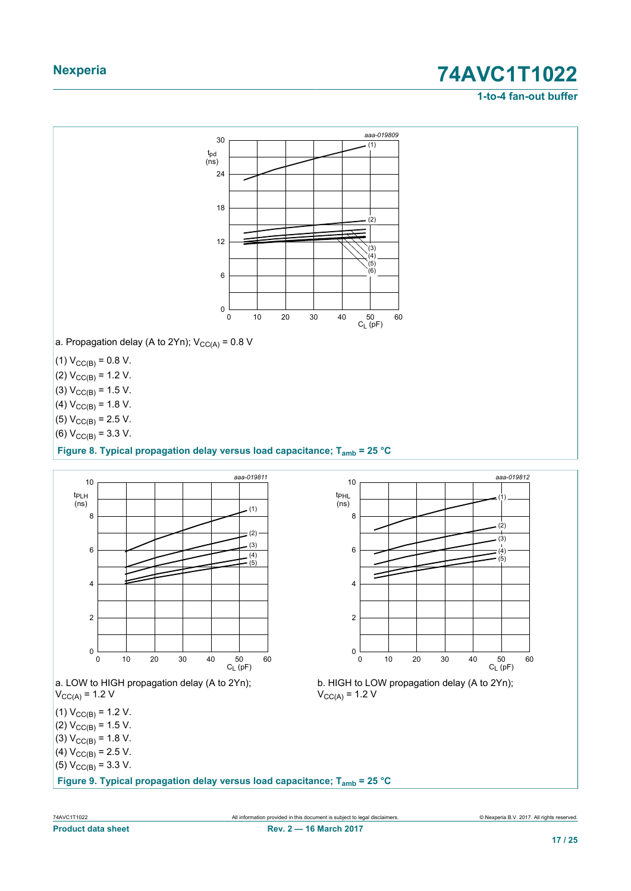#### **1-to-4 fan-out buffer**

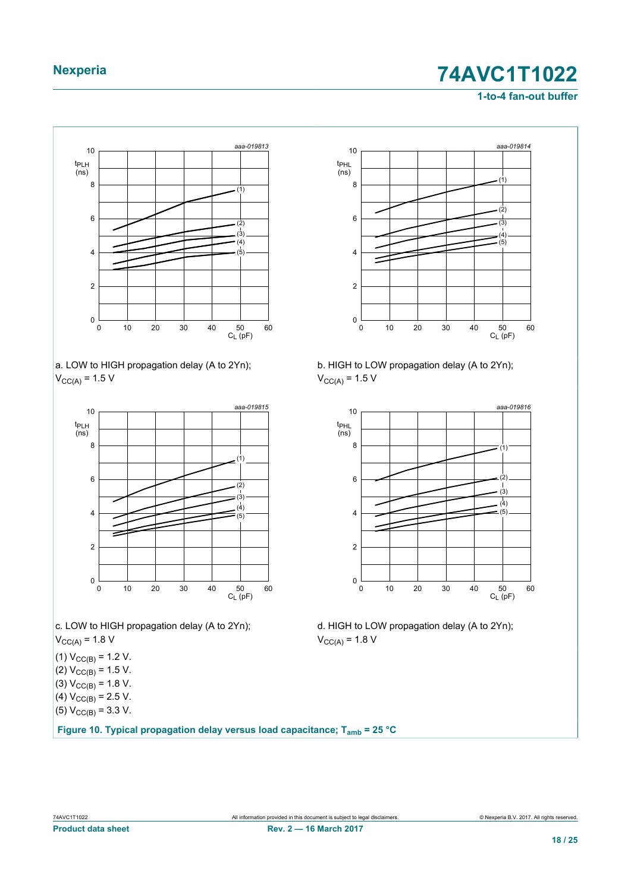#### **1-to-4 fan-out buffer**







c. LOW to HIGH propagation delay (A to 2Yn);  $V_{CC(A)} = 1.8 V$ 

(1)  $V_{CC(B)} = 1.2$  V.

(2)  $V_{CC(B)} = 1.5 V$ . (3)  $V_{CC(B)} = 1.8 V$ .

- (4)  $V_{CC(B)} = 2.5 V$ .
- (5)  $V_{CC(B)} = 3.3 V$ .

**Figure 10. Typical propagation delay versus load capacitance; Tamb = 25 °C**



b. HIGH to LOW propagation delay (A to 2Yn);  $V_{CC(A)} = 1.5 V$ 



d. HIGH to LOW propagation delay (A to 2Yn);  $V_{CC(A)} = 1.8 V$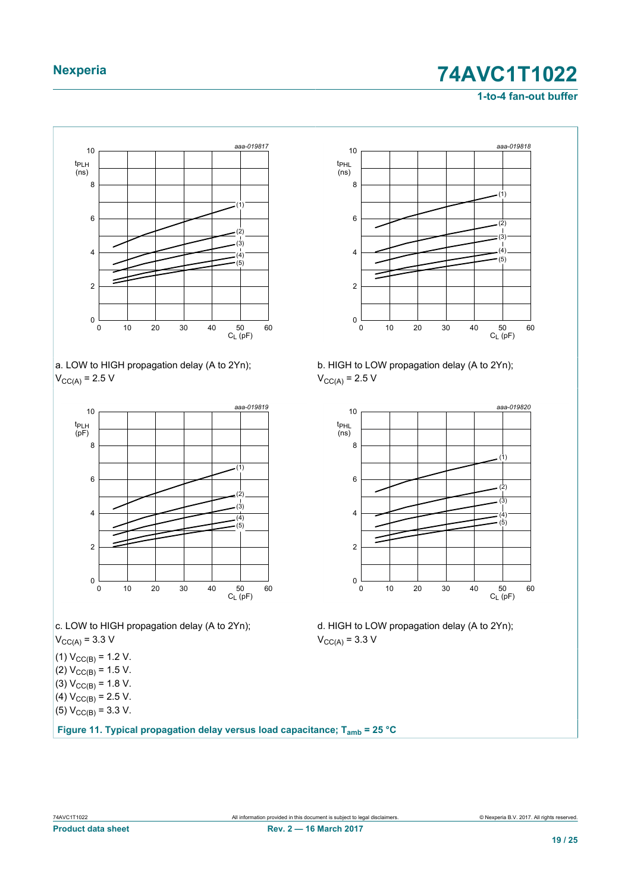#### **1-to-4 fan-out buffer**



a. LOW to HIGH propagation delay (A to 2Yn);  $V_{CC(A)} = 2.5 V$ 



c. LOW to HIGH propagation delay (A to 2Yn);  $V_{\text{CC(A)}} = 3.3 \text{ V}$ 

(1)  $V_{CC(B)} = 1.2$  V.

(2)  $V_{CC(B)} = 1.5 V$ . (3)  $V_{CC(B)} = 1.8 V$ .

- (4)  $V_{CC(B)} = 2.5 V$ .
- (5)  $V_{CC(B)} = 3.3 V$ .

**Figure 11. Typical propagation delay versus load capacitance; Tamb = 25 °C**



b. HIGH to LOW propagation delay (A to 2Yn);  $V_{CC(A)} = 2.5 V$ 



d. HIGH to LOW propagation delay (A to 2Yn);  $V_{\text{CC(A)}} = 3.3 \text{ V}$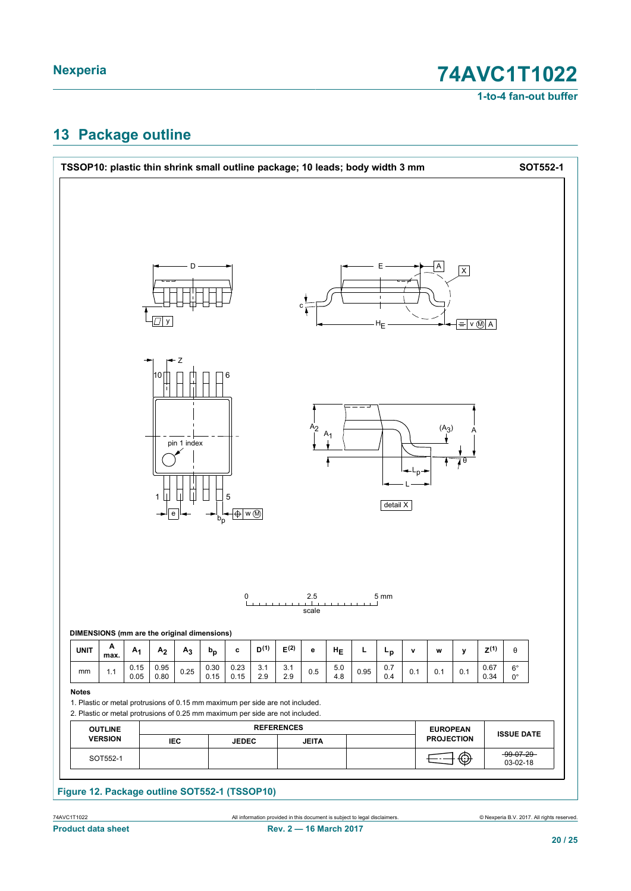**1-to-4 fan-out buffer**

# <span id="page-19-0"></span>**13 Package outline**

|              | TSSOP10: plastic thin shrink small outline package; 10 leads; body width 3 mm |              |                |                       |              |              |            |                                                                                                                                                                |                |                |      |                                        |                                           |                   |                         |                 |                            | SOT552-1 |
|--------------|-------------------------------------------------------------------------------|--------------|----------------|-----------------------|--------------|--------------|------------|----------------------------------------------------------------------------------------------------------------------------------------------------------------|----------------|----------------|------|----------------------------------------|-------------------------------------------|-------------------|-------------------------|-----------------|----------------------------|----------|
|              |                                                                               |              | $\boxed{1}$ y  | D                     |              |              |            |                                                                                                                                                                |                |                |      | Е<br>$\mathbb{I}$<br>${\sf H}_{\sf E}$ |                                           | Α                 | $\overline{\mathsf{X}}$ | $= v \otimes A$ |                            |          |
|              |                                                                               |              | 10<br>1        | Ζ<br>pin 1 index<br>е |              | 6<br>5       |            |                                                                                                                                                                | A <sub>2</sub> | $A_1$          |      | detail X                               | $\downarrow_{\leftarrow L_p \rightarrow}$ | $(A_3)$           | $\overline{10}$         |                 |                            |          |
|              | DIMENSIONS (mm are the original dimensions)                                   |              |                |                       |              | 0            |            |                                                                                                                                                                | 2.5<br>scale   |                |      | 5 mm                                   |                                           |                   |                         |                 |                            |          |
| <b>UNIT</b>  | Α<br>max.                                                                     | $A_1$        | A <sub>2</sub> | A <sub>3</sub>        | $b_p$        | c            | $D^{(1)}$  | $\mathsf{E}^{(2)}$                                                                                                                                             | е              | $H_E$          | L.   | $L_{\bf p}$                            | $\mathbf v$                               | W                 | y                       | $Z^{(1)}$       | θ                          |          |
|              | 1.1                                                                           | 0.15<br>0.05 | 0.95<br>0.80   | 0.25                  | 0.30<br>0.15 | 0.23<br>0.15 | 3.1<br>2.9 | 3.1<br>2.9                                                                                                                                                     | 0.5            | $5.0\,$<br>4.8 | 0.95 | 0.7<br>0.4                             | 0.1                                       | 0.1               | 0.1                     | 0.67<br>0.34    | $6^{\circ}$<br>$0^{\circ}$ |          |
| mm           |                                                                               |              |                |                       |              |              |            | 1. Plastic or metal protrusions of 0.15 mm maximum per side are not included.<br>2. Plastic or metal protrusions of 0.25 mm maximum per side are not included. |                |                |      |                                        |                                           |                   |                         |                 |                            |          |
| <b>Notes</b> | <b>OUTLINE</b>                                                                |              |                |                       |              |              |            | <b>REFERENCES</b>                                                                                                                                              |                |                |      |                                        |                                           | <b>EUROPEAN</b>   |                         |                 | <b>ISSUE DATE</b>          |          |
|              | <b>VERSION</b><br>SOT552-1                                                    |              |                | IEC                   |              | <b>JEDEC</b> |            |                                                                                                                                                                | <b>JEITA</b>   |                |      |                                        |                                           | <b>PROJECTION</b> | ⊕                       |                 | $-99-07-29-$               |          |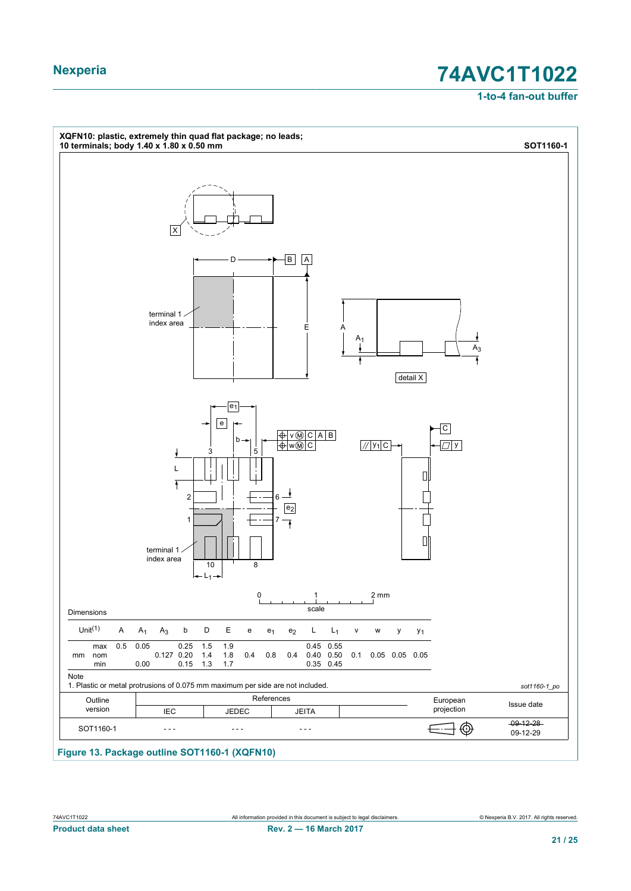**1-to-4 fan-out buffer**

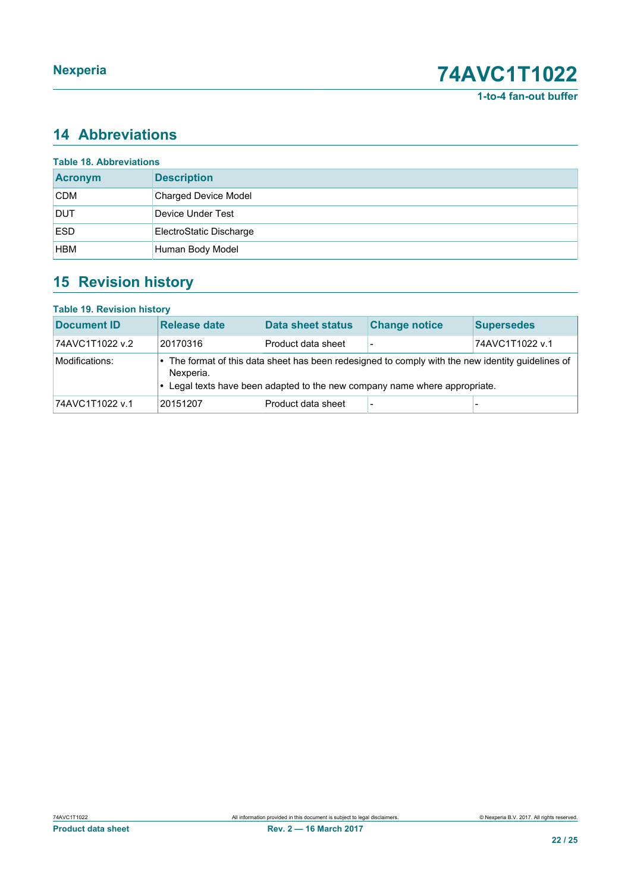## <span id="page-21-0"></span>**14 Abbreviations**

| <b>Table 18. Abbreviations</b> |                             |
|--------------------------------|-----------------------------|
| <b>Acronym</b>                 | <b>Description</b>          |
| <b>CDM</b>                     | <b>Charged Device Model</b> |
| <b>DUT</b>                     | Device Under Test           |
| <b>ESD</b>                     | ElectroStatic Discharge     |
| <b>HBM</b>                     | Human Body Model            |

## <span id="page-21-1"></span>**15 Revision history**

#### **Table 19. Revision history**

| <b>Document ID</b> | Release date | <b>Data sheet status</b> | <b>Change notice</b>                                                       | <b>Supersedes</b>                                                                               |
|--------------------|--------------|--------------------------|----------------------------------------------------------------------------|-------------------------------------------------------------------------------------------------|
| 74AVC1T1022 v.2    | 20170316     | Product data sheet       |                                                                            | 74AVC1T1022 v.1                                                                                 |
| Modifications:     | Nexperia.    |                          | • Legal texts have been adapted to the new company name where appropriate. | The format of this data sheet has been redesigned to comply with the new identity guidelines of |
| 74AVC1T1022 v.1    | 20151207     | Product data sheet       |                                                                            |                                                                                                 |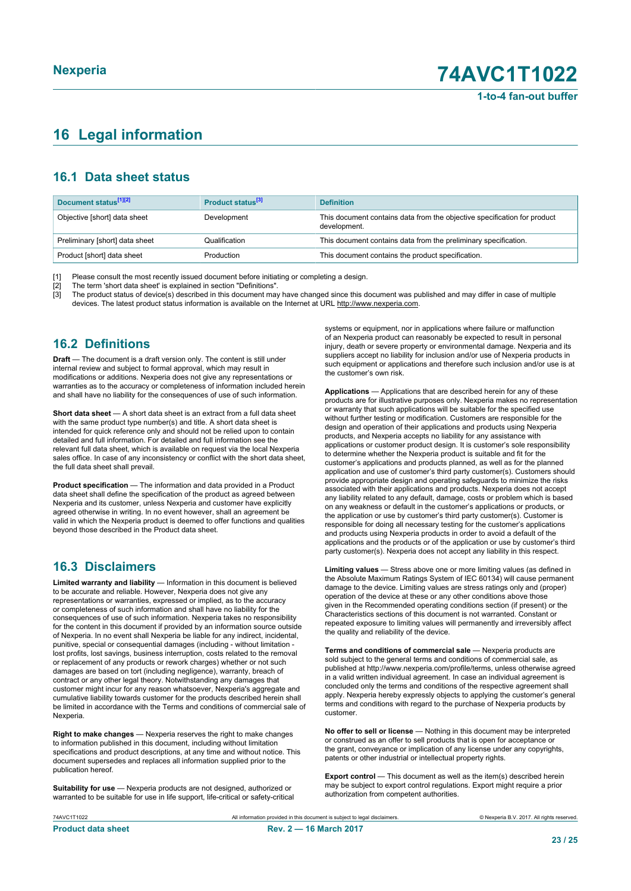## <span id="page-22-0"></span>**16 Legal information**

#### **16.1 Data sheet status**

| Document status <sup>[1][2]</sup> | Product status <sup>[3]</sup> | <b>Definition</b>                                                                        |
|-----------------------------------|-------------------------------|------------------------------------------------------------------------------------------|
| Objective [short] data sheet      | Development                   | This document contains data from the objective specification for product<br>development. |
| Preliminary [short] data sheet    | Qualification                 | This document contains data from the preliminary specification.                          |
| Product [short] data sheet        | Production                    | This document contains the product specification.                                        |

[1] Please consult the most recently issued document before initiating or completing a design.

[2] The term 'short data sheet' is explained in section "Definitions".<br>[3] The product status of device(s) described in this document may [3] The product status of device(s) described in this document may have changed since this document was published and may differ in case of multiple devices. The latest product status information is available on the Internet at URL http://www.nexperia.com.

#### **16.2 Definitions**

**Draft** — The document is a draft version only. The content is still under internal review and subject to formal approval, which may result in modifications or additions. Nexperia does not give any representations or warranties as to the accuracy or completeness of information included herein and shall have no liability for the consequences of use of such information.

**Short data sheet** — A short data sheet is an extract from a full data sheet with the same product type number(s) and title. A short data sheet is intended for quick reference only and should not be relied upon to contain detailed and full information. For detailed and full information see the relevant full data sheet, which is available on request via the local Nexperia sales office. In case of any inconsistency or conflict with the short data sheet, the full data sheet shall prevail.

**Product specification** — The information and data provided in a Product data sheet shall define the specification of the product as agreed between Nexperia and its customer, unless Nexperia and customer have explicitly agreed otherwise in writing. In no event however, shall an agreement be valid in which the Nexperia product is deemed to offer functions and qualities beyond those described in the Product data sheet.

#### **16.3 Disclaimers**

**Limited warranty and liability** — Information in this document is believed to be accurate and reliable. However, Nexperia does not give any representations or warranties, expressed or implied, as to the accuracy or completeness of such information and shall have no liability for the consequences of use of such information. Nexperia takes no responsibility for the content in this document if provided by an information source outside of Nexperia. In no event shall Nexperia be liable for any indirect, incidental, punitive, special or consequential damages (including - without limitation lost profits, lost savings, business interruption, costs related to the removal or replacement of any products or rework charges) whether or not such damages are based on tort (including negligence), warranty, breach of contract or any other legal theory. Notwithstanding any damages that customer might incur for any reason whatsoever, Nexperia's aggregate and cumulative liability towards customer for the products described herein shall be limited in accordance with the Terms and conditions of commercial sale of Nexperia.

**Right to make changes** — Nexperia reserves the right to make changes to information published in this document, including without limitation specifications and product descriptions, at any time and without notice. This document supersedes and replaces all information supplied prior to the publication hereof.

**Suitability for use** — Nexperia products are not designed, authorized or warranted to be suitable for use in life support, life-critical or safety-critical systems or equipment, nor in applications where failure or malfunction of an Nexperia product can reasonably be expected to result in personal injury, death or severe property or environmental damage. Nexperia and its suppliers accept no liability for inclusion and/or use of Nexperia products in such equipment or applications and therefore such inclusion and/or use is at the customer's own risk.

**Applications** — Applications that are described herein for any of these products are for illustrative purposes only. Nexperia makes no representation or warranty that such applications will be suitable for the specified use without further testing or modification. Customers are responsible for the design and operation of their applications and products using Nexperia products, and Nexperia accepts no liability for any assistance with applications or customer product design. It is customer's sole responsibility to determine whether the Nexperia product is suitable and fit for the customer's applications and products planned, as well as for the planned application and use of customer's third party customer(s). Customers should provide appropriate design and operating safeguards to minimize the risks associated with their applications and products. Nexperia does not accept any liability related to any default, damage, costs or problem which is based on any weakness or default in the customer's applications or products, or the application or use by customer's third party customer(s). Customer is responsible for doing all necessary testing for the customer's applications and products using Nexperia products in order to avoid a default of the applications and the products or of the application or use by customer's third party customer(s). Nexperia does not accept any liability in this respect.

**Limiting values** — Stress above one or more limiting values (as defined in the Absolute Maximum Ratings System of IEC 60134) will cause permanent damage to the device. Limiting values are stress ratings only and (proper) operation of the device at these or any other conditions above those given in the Recommended operating conditions section (if present) or the Characteristics sections of this document is not warranted. Constant or repeated exposure to limiting values will permanently and irreversibly affect the quality and reliability of the device.

**Terms and conditions of commercial sale** — Nexperia products are sold subject to the general terms and conditions of commercial sale, as published at http://www.nexperia.com/profile/terms, unless otherwise agreed in a valid written individual agreement. In case an individual agreement is concluded only the terms and conditions of the respective agreement shall apply. Nexperia hereby expressly objects to applying the customer's general terms and conditions with regard to the purchase of Nexperia products by customer.

**No offer to sell or license** — Nothing in this document may be interpreted or construed as an offer to sell products that is open for acceptance or the grant, conveyance or implication of any license under any copyrights, patents or other industrial or intellectual property rights.

**Export control** — This document as well as the item(s) described herein may be subject to export control regulations. Export might require a prior authorization from competent authorities.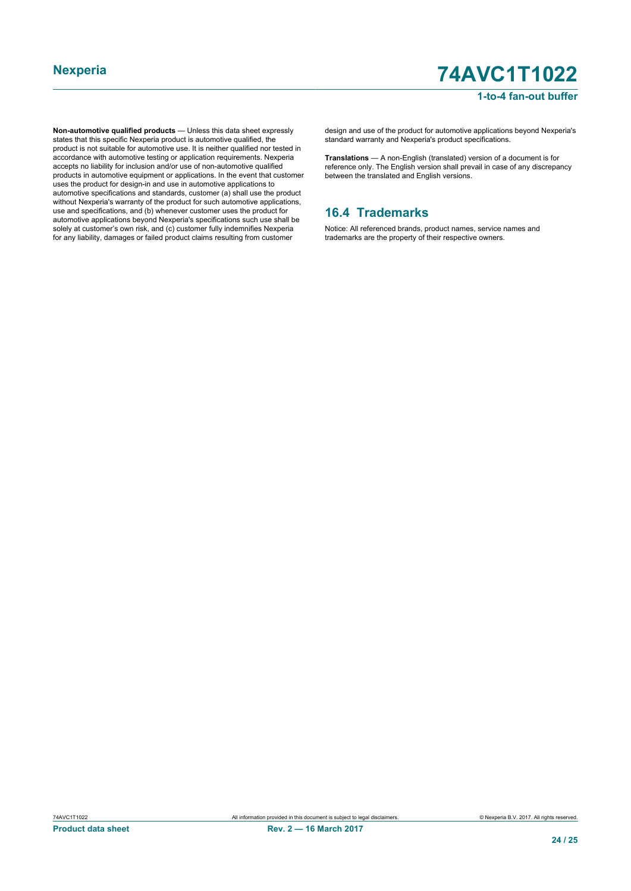#### **1-to-4 fan-out buffer**

**Non-automotive qualified products** — Unless this data sheet expressly states that this specific Nexperia product is automotive qualified, the product is not suitable for automotive use. It is neither qualified nor tested in accordance with automotive testing or application requirements. Nexperia accepts no liability for inclusion and/or use of non-automotive qualified products in automotive equipment or applications. In the event that customer uses the product for design-in and use in automotive applications to automotive specifications and standards, customer (a) shall use the product without Nexperia's warranty of the product for such automotive applications, use and specifications, and (b) whenever customer uses the product for automotive applications beyond Nexperia's specifications such use shall be solely at customer's own risk, and (c) customer fully indemnifies Nexperia for any liability, damages or failed product claims resulting from customer

design and use of the product for automotive applications beyond Nexperia's standard warranty and Nexperia's product specifications.

**Translations** — A non-English (translated) version of a document is for reference only. The English version shall prevail in case of any discrepancy between the translated and English versions.

#### **16.4 Trademarks**

Notice: All referenced brands, product names, service names and trademarks are the property of their respective owners.